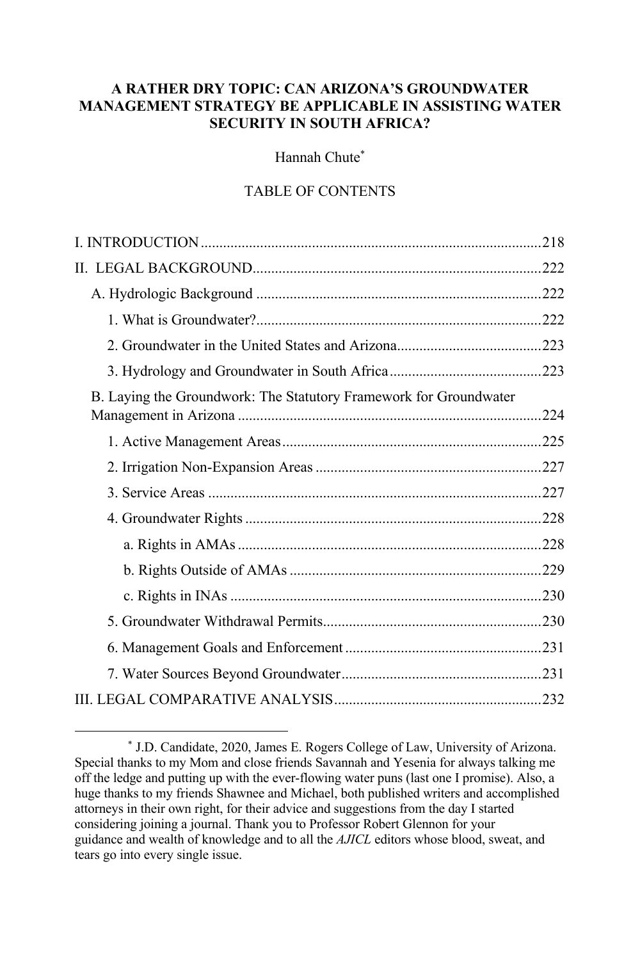# **A RATHER DRY TOPIC: CAN ARIZONA'S GROUNDWATER MANAGEMENT STRATEGY BE APPLICABLE IN ASSISTING WATER SECURITY IN SOUTH AFRICA?**

Hannah Chute\*

# TABLE OF CONTENTS

| B. Laying the Groundwork: The Statutory Framework for Groundwater |  |
|-------------------------------------------------------------------|--|
|                                                                   |  |
|                                                                   |  |
|                                                                   |  |
|                                                                   |  |
|                                                                   |  |
|                                                                   |  |
|                                                                   |  |
|                                                                   |  |
|                                                                   |  |
|                                                                   |  |
|                                                                   |  |

<sup>\*</sup> J.D. Candidate, 2020, James E. Rogers College of Law, University of Arizona. Special thanks to my Mom and close friends Savannah and Yesenia for always talking me off the ledge and putting up with the ever-flowing water puns (last one I promise). Also, a huge thanks to my friends Shawnee and Michael, both published writers and accomplished attorneys in their own right, for their advice and suggestions from the day I started considering joining a journal. Thank you to Professor Robert Glennon for your guidance and wealth of knowledge and to all the *AJICL* editors whose blood, sweat, and tears go into every single issue.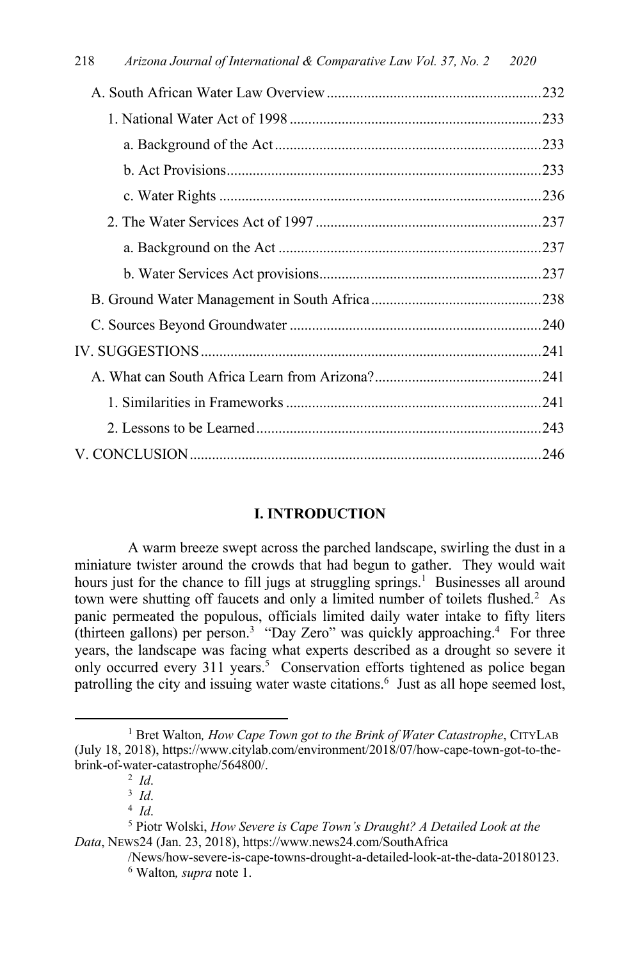| 218<br>Arizona Journal of International & Comparative Law Vol. 37, No. 2 2020 |     |
|-------------------------------------------------------------------------------|-----|
|                                                                               |     |
|                                                                               |     |
|                                                                               |     |
|                                                                               |     |
|                                                                               |     |
|                                                                               |     |
|                                                                               |     |
| <b>b</b> Water Services Act provisions                                        | 237 |

# **I. INTRODUCTION**

A warm breeze swept across the parched landscape, swirling the dust in a miniature twister around the crowds that had begun to gather. They would wait hours just for the chance to fill jugs at struggling springs.<sup>1</sup> Businesses all around town were shutting off faucets and only a limited number of toilets flushed.<sup>2</sup> As panic permeated the populous, officials limited daily water intake to fifty liters (thirteen gallons) per person.<sup>3</sup> "Day Zero" was quickly approaching.<sup>4</sup> For three years, the landscape was facing what experts described as a drought so severe it only occurred every 311 years.<sup>5</sup> Conservation efforts tightened as police began patrolling the city and issuing water waste citations.<sup>6</sup> Just as all hope seemed lost,

<sup>&</sup>lt;sup>1</sup> Bret Walton, *How Cape Town got to the Brink of Water Catastrophe*, CITYLAB (July 18, 2018), https://www.citylab.com/environment/2018/07/how-cape-town-got-to-thebrink-of-water-catastrophe/564800/. 2 *Id*.

<sup>3</sup> *Id*.

<sup>4</sup> *Id*.

<sup>5</sup> Piotr Wolski, *How Severe is Cape Town's Draught? A Detailed Look at the Data*, NEWS24 (Jan. 23, 2018), https://www.news24.com/SouthAfrica

<sup>/</sup>News/how-severe-is-cape-towns-drought-a-detailed-look-at-the-data-20180123. <sup>6</sup> Walton*, supra* note 1.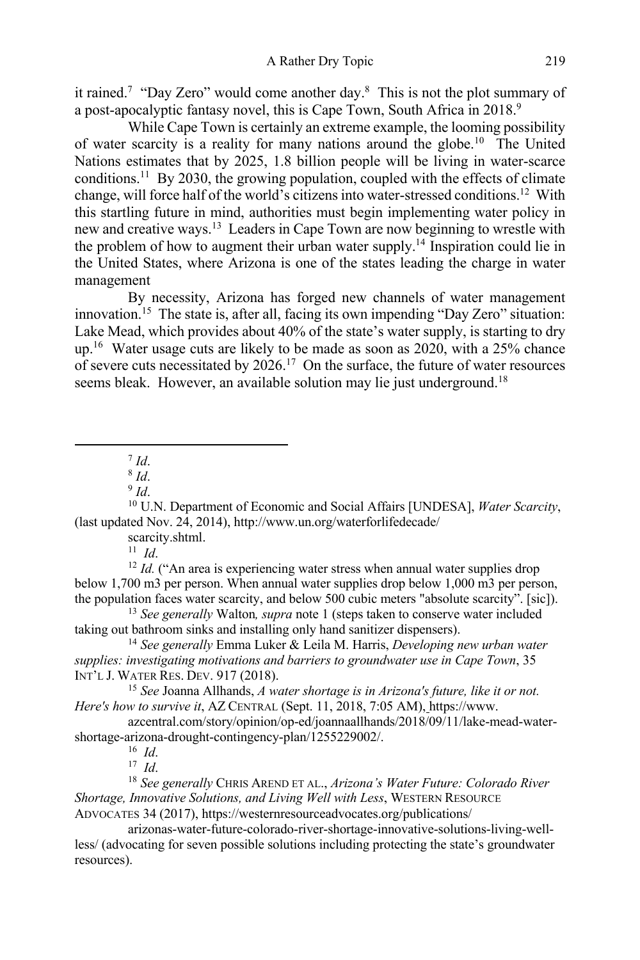it rained.<sup>7</sup> "Day Zero" would come another day.<sup>8</sup> This is not the plot summary of a post-apocalyptic fantasy novel, this is Cape Town, South Africa in 2018.<sup>9</sup>

While Cape Town is certainly an extreme example, the looming possibility of water scarcity is a reality for many nations around the globe. 10 The United Nations estimates that by 2025, 1.8 billion people will be living in water-scarce conditions.<sup>11</sup> By 2030, the growing population, coupled with the effects of climate change, will force half of the world's citizens into water-stressed conditions.12 With this startling future in mind, authorities must begin implementing water policy in new and creative ways.13 Leaders in Cape Town are now beginning to wrestle with the problem of how to augment their urban water supply.<sup>14</sup> Inspiration could lie in the United States, where Arizona is one of the states leading the charge in water management

By necessity, Arizona has forged new channels of water management innovation.<sup>15</sup> The state is, after all, facing its own impending "Day Zero" situation: Lake Mead, which provides about 40% of the state's water supply, is starting to dry up.<sup>16</sup> Water usage cuts are likely to be made as soon as 2020, with a 25% chance of severe cuts necessitated by  $2026$ .<sup>17</sup> On the surface, the future of water resources seems bleak. However, an available solution may lie just underground.<sup>18</sup>

 $^7$  *Id.* 

<sup>10</sup> U.N. Department of Economic and Social Affairs [UNDESA], *Water Scarcity*, (last updated Nov. 24, 2014), http://www.un.org/waterforlifedecade/

scarcity.shtml.

 $11$  *Id.* 

<sup>12</sup> *Id.* ("An area is experiencing water stress when annual water supplies drop below 1,700 m3 per person. When annual water supplies drop below 1,000 m3 per person, the population faces water scarcity, and below 500 cubic meters "absolute scarcity". [sic]).

<sup>13</sup> *See generally* Walton*, supra* note 1 (steps taken to conserve water included taking out bathroom sinks and installing only hand sanitizer dispensers).

<sup>14</sup> *See generally* Emma Luker & Leila M. Harris, *Developing new urban water supplies: investigating motivations and barriers to groundwater use in Cape Town*, 35 INT'L J. WATER RES. DEV. 917 (2018).

<sup>15</sup> *See* Joanna Allhands, *A water shortage is in Arizona's future, like it or not. Here's how to survive it*, AZ CENTRAL (Sept. 11, 2018, 7:05 AM), https://www.

azcentral.com/story/opinion/op-ed/joannaallhands/2018/09/11/lake-mead-watershortage-arizona-drought-contingency-plan/1255229002/.

16 *Id*.

17 *Id*.

<sup>18</sup> *See generally* CHRIS AREND ET AL., *Arizona's Water Future: Colorado River Shortage, Innovative Solutions, and Living Well with Less*, WESTERN RESOURCE ADVOCATES 34 (2017), https://westernresourceadvocates.org/publications/

arizonas-water-future-colorado-river-shortage-innovative-solutions-living-wellless/ (advocating for seven possible solutions including protecting the state's groundwater resources).

<sup>8</sup> *Id*.

 $9 \,$ *Id*.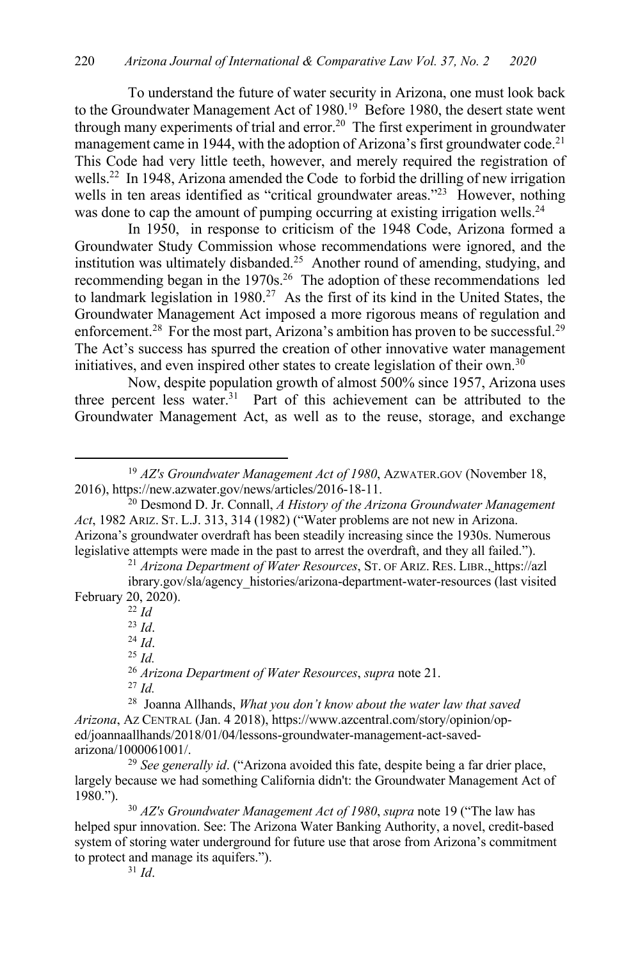To understand the future of water security in Arizona, one must look back to the Groundwater Management Act of 1980.<sup>19</sup> Before 1980, the desert state went through many experiments of trial and error.<sup>20</sup> The first experiment in groundwater management came in 1944, with the adoption of Arizona's first groundwater code.<sup>21</sup> This Code had very little teeth, however, and merely required the registration of wells.<sup>22</sup> In 1948, Arizona amended the Code to forbid the drilling of new irrigation wells in ten areas identified as "critical groundwater areas."<sup>23</sup> However, nothing was done to cap the amount of pumping occurring at existing irrigation wells.<sup>24</sup>

In 1950, in response to criticism of the 1948 Code, Arizona formed a Groundwater Study Commission whose recommendations were ignored, and the institution was ultimately disbanded.<sup>25</sup> Another round of amending, studying, and recommending began in the 1970s.<sup>26</sup> The adoption of these recommendations led to landmark legislation in  $1980.<sup>27</sup>$  As the first of its kind in the United States, the Groundwater Management Act imposed a more rigorous means of regulation and enforcement.<sup>28</sup> For the most part, Arizona's ambition has proven to be successful.<sup>29</sup> The Act's success has spurred the creation of other innovative water management initiatives, and even inspired other states to create legislation of their own.<sup>30</sup>

Now, despite population growth of almost 500% since 1957, Arizona uses three percent less water.<sup>31</sup> Part of this achievement can be attributed to the Groundwater Management Act, as well as to the reuse, storage, and exchange

<sup>21</sup> *Arizona Department of Water Resources*, ST. OF ARIZ. RES. LIBR., https://azl

<sup>22</sup> *Id*

<sup>23</sup> *Id*.

<sup>24</sup> *Id*.

<sup>25</sup> *Id.*

<sup>26</sup> *Arizona Department of Water Resources*, *supra* note 21.

<sup>27</sup> *Id.*

<sup>19</sup> *AZ's Groundwater Management Act of 1980*, AZWATER.GOV (November 18, 2016), https://new.azwater.gov/news/articles/2016-18-11.

<sup>20</sup> Desmond D. Jr. Connall, *A History of the Arizona Groundwater Management Act*, 1982 ARIZ. ST. L.J. 313, 314 (1982) ("Water problems are not new in Arizona. Arizona's groundwater overdraft has been steadily increasing since the 1930s. Numerous legislative attempts were made in the past to arrest the overdraft, and they all failed.").

ibrary.gov/sla/agency\_histories/arizona-department-water-resources (last visited February 20, 2020).

<sup>28</sup> Joanna Allhands, *What you don't know about the water law that saved Arizona*, AZ CENTRAL (Jan. 4 2018), https://www.azcentral.com/story/opinion/oped/joannaallhands/2018/01/04/lessons-groundwater-management-act-savedarizona/1000061001/.

<sup>29</sup> *See generally id*. ("Arizona avoided this fate, despite being a far drier place, largely because we had something California didn't: the Groundwater Management Act of 1980.").

<sup>30</sup> *AZ's Groundwater Management Act of 1980*, *supra* note 19 ("The law has helped spur innovation. See: The Arizona Water Banking Authority, a novel, credit-based system of storing water underground for future use that arose from Arizona's commitment to protect and manage its aquifers.").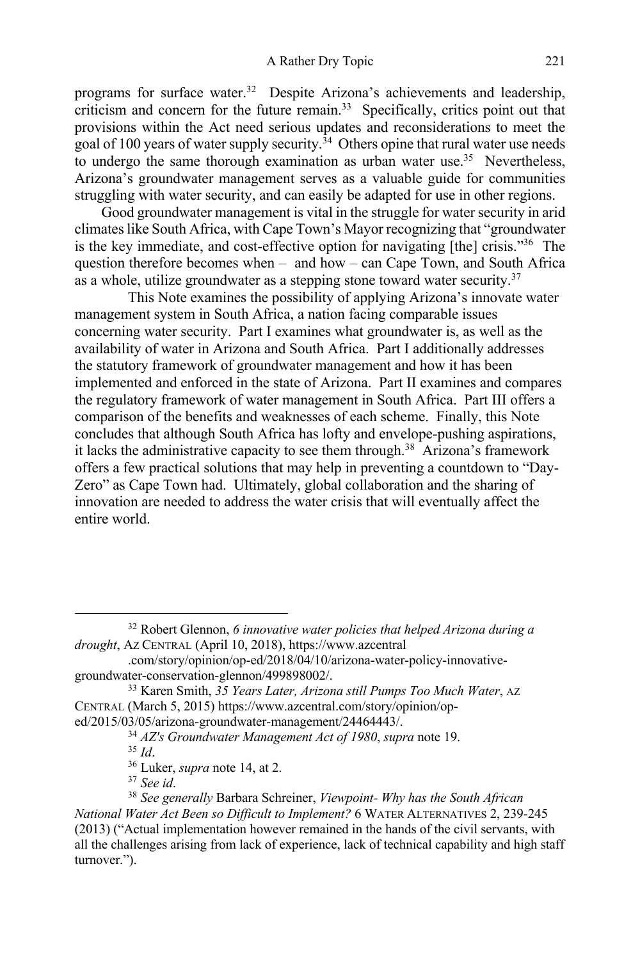programs for surface water.<sup>32</sup> Despite Arizona's achievements and leadership, criticism and concern for the future remain. 33 Specifically, critics point out that provisions within the Act need serious updates and reconsiderations to meet the goal of 100 years of water supply security.<sup>34</sup> Others opine that rural water use needs to undergo the same thorough examination as urban water use.<sup>35</sup> Nevertheless, Arizona's groundwater management serves as a valuable guide for communities struggling with water security, and can easily be adapted for use in other regions.

Good groundwater management is vital in the struggle for water security in arid climateslike South Africa, with Cape Town's Mayor recognizing that "groundwater is the key immediate, and cost-effective option for navigating [the] crisis."36 The question therefore becomes when – and how – can Cape Town, and South Africa as a whole, utilize groundwater as a stepping stone toward water security.<sup>37</sup>

This Note examines the possibility of applying Arizona's innovate water management system in South Africa, a nation facing comparable issues concerning water security. Part I examines what groundwater is, as well as the availability of water in Arizona and South Africa. Part I additionally addresses the statutory framework of groundwater management and how it has been implemented and enforced in the state of Arizona. Part II examines and compares the regulatory framework of water management in South Africa. Part III offers a comparison of the benefits and weaknesses of each scheme. Finally, this Note concludes that although South Africa has lofty and envelope-pushing aspirations, it lacks the administrative capacity to see them through.<sup>38</sup> Arizona's framework offers a few practical solutions that may help in preventing a countdown to "Day-Zero" as Cape Town had. Ultimately, global collaboration and the sharing of innovation are needed to address the water crisis that will eventually affect the entire world.

<sup>37</sup> *See id*.

<sup>32</sup> Robert Glennon, *6 innovative water policies that helped Arizona during a drought*, AZ CENTRAL (April 10, 2018), https://www.azcentral

<sup>.</sup>com/story/opinion/op-ed/2018/04/10/arizona-water-policy-innovativegroundwater-conservation-glennon/499898002/.

<sup>33</sup> Karen Smith, *35 Years Later, Arizona still Pumps Too Much Water*, AZ CENTRAL (March 5, 2015) https://www.azcentral.com/story/opinion/oped/2015/03/05/arizona-groundwater-management/24464443/.

<sup>34</sup> *AZ's Groundwater Management Act of 1980*, *supra* note 19.

<sup>35</sup> *Id*.

<sup>36</sup> Luker, *supra* note 14, at 2.

<sup>38</sup> *See generally* Barbara Schreiner, *Viewpoint- Why has the South African National Water Act Been so Difficult to Implement?* 6 WATER ALTERNATIVES 2, 239-245 (2013) ("Actual implementation however remained in the hands of the civil servants, with all the challenges arising from lack of experience, lack of technical capability and high staff turnover.").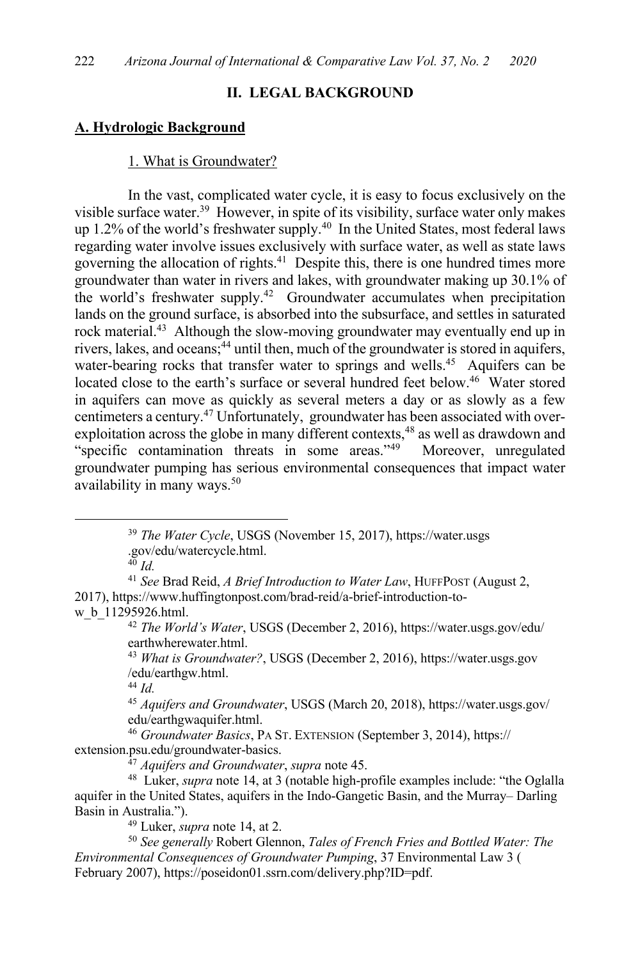### **II. LEGAL BACKGROUND**

### **A. Hydrologic Background**

#### 1. What is Groundwater?

In the vast, complicated water cycle, it is easy to focus exclusively on the visible surface water.<sup>39</sup> However, in spite of its visibility, surface water only makes up 1.2% of the world's freshwater supply.<sup>40</sup> In the United States, most federal laws regarding water involve issues exclusively with surface water, as well as state laws governing the allocation of rights.41 Despite this, there is one hundred times more groundwater than water in rivers and lakes, with groundwater making up 30.1% of the world's freshwater supply.<sup>42</sup> Groundwater accumulates when precipitation lands on the ground surface, is absorbed into the subsurface, and settles in saturated rock material.<sup>43</sup> Although the slow-moving groundwater may eventually end up in rivers, lakes, and oceans; <sup>44</sup> until then, much of the groundwater is stored in aquifers, water-bearing rocks that transfer water to springs and wells.<sup>45</sup> Aquifers can be located close to the earth's surface or several hundred feet below.<sup>46</sup> Water stored in aquifers can move as quickly as several meters a day or as slowly as a few centimeters a century.47 Unfortunately, groundwater has been associated with overexploitation across the globe in many different contexts,<sup>48</sup> as well as drawdown and "specific contamination threats in some areas."49 Moreover, unregulated groundwater pumping has serious environmental consequences that impact water availability in many ways.<sup>50</sup>

<sup>40</sup> *Id.*

<sup>41</sup> *See* Brad Reid, *A Brief Introduction to Water Law*, HUFFPOST (August 2, 2017), https://www.huffingtonpost.com/brad-reid/a-brief-introduction-tow\_b\_11295926.html.

<sup>42</sup> *The World's Water*, USGS (December 2, 2016), https://water.usgs.gov/edu/ earthwherewater.html.

<sup>43</sup> *What is Groundwater?*, USGS (December 2, 2016), https://water.usgs.gov /edu/earthgw.html.

<sup>44</sup> *Id.*

<sup>45</sup> *Aquifers and Groundwater*, USGS (March 20, 2018), https://water.usgs.gov/ edu/earthgwaquifer.html.

<sup>46</sup> *Groundwater Basics*, PA ST. EXTENSION (September 3, 2014), https:// extension.psu.edu/groundwater-basics.

<sup>47</sup> *Aquifers and Groundwater*, *supra* note 45.

48 Luker, *supra* note 14, at 3 (notable high-profile examples include: "the Oglalla aquifer in the United States, aquifers in the Indo-Gangetic Basin, and the Murray– Darling Basin in Australia.").

<sup>49</sup> Luker, *supra* note 14, at 2.

<sup>50</sup> *See generally* Robert Glennon, *Tales of French Fries and Bottled Water: The Environmental Consequences of Groundwater Pumping*, 37 Environmental Law 3 ( February 2007), https://poseidon01.ssrn.com/delivery.php?ID=pdf.

<sup>39</sup> *The Water Cycle*, USGS (November 15, 2017), https://water.usgs .gov/edu/watercycle.html.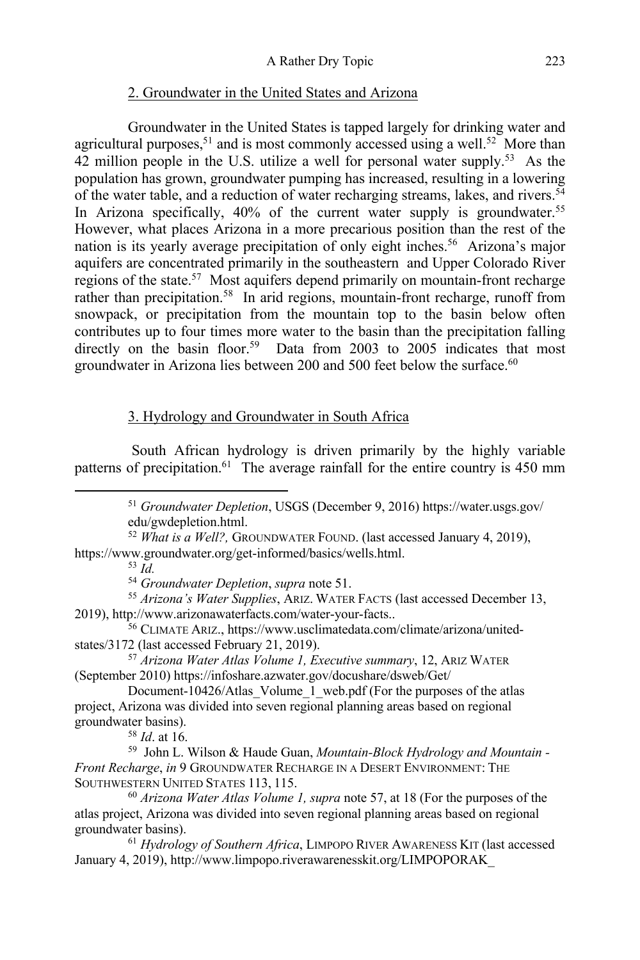### 2. Groundwater in the United States and Arizona

Groundwater in the United States is tapped largely for drinking water and agricultural purposes,<sup>51</sup> and is most commonly accessed using a well.<sup>52</sup> More than 42 million people in the U.S. utilize a well for personal water supply.<sup>53</sup> As the population has grown, groundwater pumping has increased, resulting in a lowering of the water table, and a reduction of water recharging streams, lakes, and rivers.<sup>54</sup> In Arizona specifically,  $40\%$  of the current water supply is groundwater.<sup>55</sup> However, what places Arizona in a more precarious position than the rest of the nation is its yearly average precipitation of only eight inches.<sup>56</sup> Arizona's major aquifers are concentrated primarily in the southeastern and Upper Colorado River regions of the state.<sup>57</sup> Most aquifers depend primarily on mountain-front recharge rather than precipitation.<sup>58</sup> In arid regions, mountain-front recharge, runoff from snowpack, or precipitation from the mountain top to the basin below often contributes up to four times more water to the basin than the precipitation falling directly on the basin floor.<sup>59</sup> Data from 2003 to 2005 indicates that most groundwater in Arizona lies between 200 and 500 feet below the surface.<sup>60</sup>

# 3. Hydrology and Groundwater in South Africa

South African hydrology is driven primarily by the highly variable patterns of precipitation.<sup>61</sup> The average rainfall for the entire country is 450 mm

<sup>53</sup> *Id.*

<sup>54</sup> *Groundwater Depletion*, *supra* note 51.

<sup>55</sup> *Arizona's Water Supplies*, ARIZ. WATER FACTS (last accessed December 13, 2019), http://www.arizonawaterfacts.com/water-your-facts..

- <sup>56</sup> CLIMATE ARIZ., https://www.usclimatedata.com/climate/arizona/unitedstates/3172 (last accessed February 21, 2019).
- <sup>57</sup> *Arizona Water Atlas Volume 1, Executive summary*, 12, ARIZ WATER (September 2010) https://infoshare.azwater.gov/docushare/dsweb/Get/
- Document-10426/Atlas\_Volume\_1\_web.pdf (For the purposes of the atlas project, Arizona was divided into seven regional planning areas based on regional groundwater basins).

<sup>58</sup> *Id*. at 16.

<sup>51</sup> *Groundwater Depletion*, USGS (December 9, 2016) https://water.usgs.gov/ edu/gwdepletion.html.

<sup>52</sup> *What is a Well?,* GROUNDWATER FOUND. (last accessed January 4, 2019), https://www.groundwater.org/get-informed/basics/wells.html.

<sup>59</sup> John L. Wilson & Haude Guan, *Mountain-Block Hydrology and Mountain - Front Recharge*, *in* 9 GROUNDWATER RECHARGE IN A DESERT ENVIRONMENT: THE SOUTHWESTERN UNITED STATES 113, 115.

<sup>60</sup> *Arizona Water Atlas Volume 1, supra* note 57, at 18 (For the purposes of the atlas project, Arizona was divided into seven regional planning areas based on regional groundwater basins).

<sup>61</sup> *Hydrology of Southern Africa*, LIMPOPO RIVER AWARENESS KIT (last accessed January 4, 2019), http://www.limpopo.riverawarenesskit.org/LIMPOPORAK\_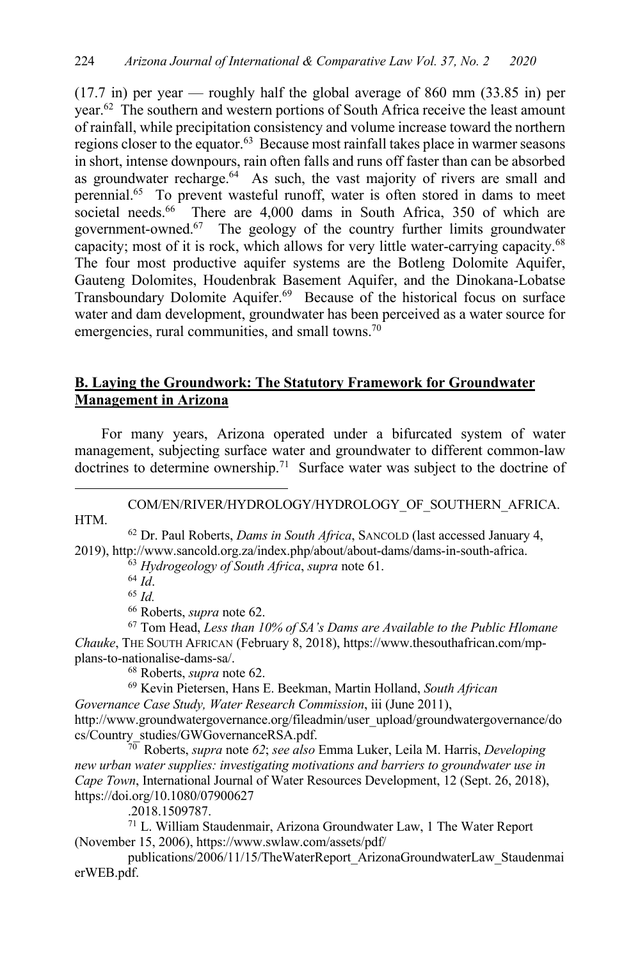$(17.7 \text{ in})$  per year — roughly half the global average of 860 mm  $(33.85 \text{ in})$  per year.<sup>62</sup> The southern and western portions of South Africa receive the least amount of rainfall, while precipitation consistency and volume increase toward the northern regions closer to the equator.<sup>63</sup> Because most rainfall takes place in warmer seasons in short, intense downpours, rain often falls and runs off faster than can be absorbed as groundwater recharge.<sup>64</sup> As such, the vast majority of rivers are small and perennial.65 To prevent wasteful runoff, water is often stored in dams to meet societal needs. $66$  There are 4,000 dams in South Africa, 350 of which are government-owned.67 The geology of the country further limits groundwater capacity; most of it is rock, which allows for very little water-carrying capacity.<sup>68</sup> The four most productive aquifer systems are the Botleng Dolomite Aquifer, Gauteng Dolomites, Houdenbrak Basement Aquifer, and the Dinokana-Lobatse Transboundary Dolomite Aquifer.69 Because of the historical focus on surface water and dam development, groundwater has been perceived as a water source for emergencies, rural communities, and small towns.<sup>70</sup>

# **B. Laying the Groundwork: The Statutory Framework for Groundwater Management in Arizona**

For many years, Arizona operated under a bifurcated system of water management, subjecting surface water and groundwater to different common-law doctrines to determine ownership.<sup>71</sup> Surface water was subject to the doctrine of

# COM/EN/RIVER/HYDROLOGY/HYDROLOGY\_OF\_SOUTHERN\_AFRICA. HTM.

<sup>62</sup> Dr. Paul Roberts, *Dams in South Africa*, SANCOLD (last accessed January 4, 2019), http://www.sancold.org.za/index.php/about/about-dams/dams-in-south-africa.

<sup>63</sup> *Hydrogeology of South Africa*, *supra* note 61. 64 *Id*. 65 *Id.*<sup>66</sup> Roberts, *supra* note 62.

<sup>67</sup> Tom Head, *Less than 10% of SA's Dams are Available to the Public Hlomane Chauke*, THE SOUTH AFRICAN (February 8, 2018), https://www.thesouthafrican.com/mpplans-to-nationalise-dams-sa/. 68 Roberts, *supra* note 62.

<sup>69</sup> Kevin Pietersen, Hans E. Beekman, Martin Holland, *South African Governance Case Study, Water Research Commission*, iii (June 2011), http://www.groundwatergovernance.org/fileadmin/user\_upload/groundwatergovernance/do cs/Country\_studies/GWGovernanceRSA.pdf.

70 Roberts, *supra* note *62*; *see also* Emma Luker, Leila M. Harris, *Developing new urban water supplies: investigating motivations and barriers to groundwater use in Cape Town*, International Journal of Water Resources Development, 12 (Sept. 26, 2018), https://doi.org/10.1080/07900627

.2018.1509787.

<sup>71</sup> L. William Staudenmair, Arizona Groundwater Law, 1 The Water Report (November 15, 2006), https://www.swlaw.com/assets/pdf/

publications/2006/11/15/TheWaterReport\_ArizonaGroundwaterLaw\_Staudenmai erWEB.pdf.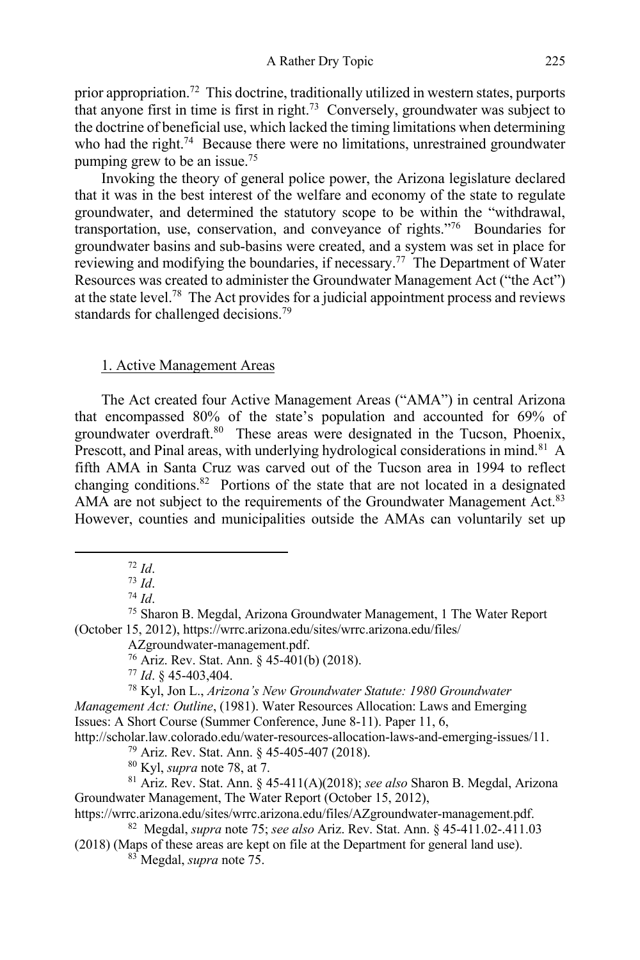prior appropriation.<sup>72</sup> This doctrine, traditionally utilized in western states, purports that anyone first in time is first in right.<sup>73</sup> Conversely, groundwater was subject to the doctrine of beneficial use, which lacked the timing limitations when determining who had the right.<sup>74</sup> Because there were no limitations, unrestrained groundwater pumping grew to be an issue.<sup>75</sup>

Invoking the theory of general police power, the Arizona legislature declared that it was in the best interest of the welfare and economy of the state to regulate groundwater, and determined the statutory scope to be within the "withdrawal, transportation, use, conservation, and conveyance of rights."76 Boundaries for groundwater basins and sub-basins were created, and a system was set in place for reviewing and modifying the boundaries, if necessary.<sup>77</sup> The Department of Water Resources was created to administer the Groundwater Management Act ("the Act") at the state level.<sup>78</sup> The Act provides for a judicial appointment process and reviews standards for challenged decisions.<sup>79</sup>

#### 1. Active Management Areas

The Act created four Active Management Areas ("AMA") in central Arizona that encompassed 80% of the state's population and accounted for 69% of groundwater overdraft.<sup>80</sup> These areas were designated in the Tucson, Phoenix, Prescott, and Pinal areas, with underlying hydrological considerations in mind.<sup>81</sup> A fifth AMA in Santa Cruz was carved out of the Tucson area in 1994 to reflect changing conditions.82 Portions of the state that are not located in a designated AMA are not subject to the requirements of the Groundwater Management Act.<sup>83</sup> However, counties and municipalities outside the AMAs can voluntarily set up

AZgroundwater-management.pdf.

<sup>76</sup> Ariz. Rev. Stat. Ann. § 45-401(b) (2018).

<sup>77</sup> *Id*. § 45-403,404.

<sup>78</sup> Kyl, Jon L., *Arizona's New Groundwater Statute: 1980 Groundwater Management Act: Outline*, (1981). Water Resources Allocation: Laws and Emerging Issues: A Short Course (Summer Conference, June 8-11). Paper 11, 6,

http://scholar.law.colorado.edu/water-resources-allocation-laws-and-emerging-issues/11.

<sup>79</sup> Ariz. Rev. Stat. Ann. § 45-405-407 (2018). <sup>80</sup> Kyl, *supra* note 78, at 7.

<sup>81</sup> Ariz. Rev. Stat. Ann. § 45-411(A)(2018); *see also* Sharon B. Megdal, Arizona Groundwater Management, The Water Report (October 15, 2012),

https://wrrc.arizona.edu/sites/wrrc.arizona.edu/files/AZgroundwater-management.pdf.

82 Megdal, *supra* note 75; *see also* Ariz. Rev. Stat. Ann. § 45-411.02-.411.03

(2018) (Maps of these areas are kept on file at the Department for general land use). 83 Megdal, *supra* note 75.

<sup>72</sup> *Id*.

<sup>73</sup> *Id*.

<sup>74</sup> *Id*.

<sup>75</sup> Sharon B. Megdal, Arizona Groundwater Management, 1 The Water Report (October 15, 2012), https://wrrc.arizona.edu/sites/wrrc.arizona.edu/files/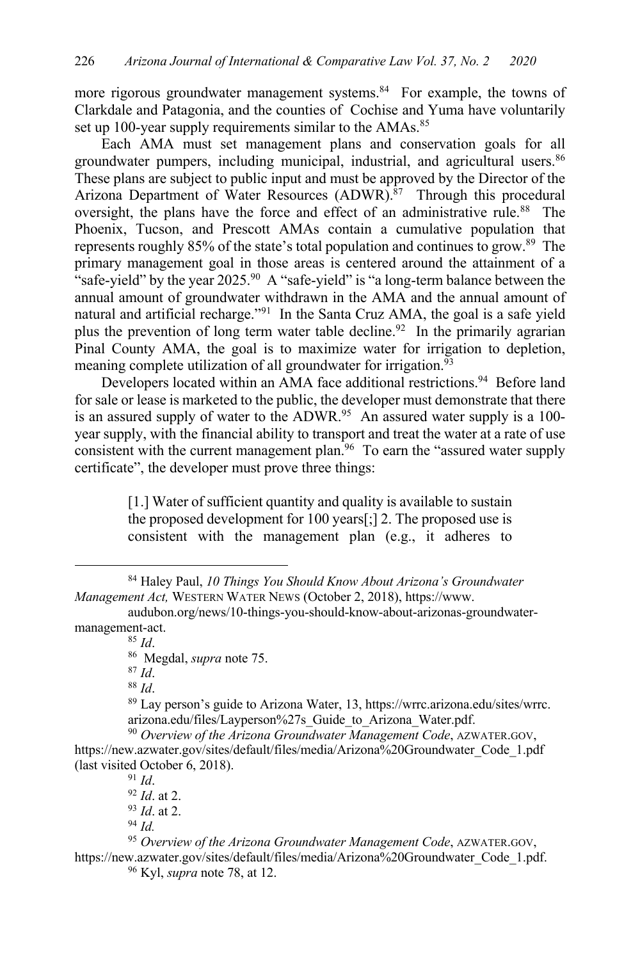more rigorous groundwater management systems.<sup>84</sup> For example, the towns of Clarkdale and Patagonia, and the counties of Cochise and Yuma have voluntarily set up 100-year supply requirements similar to the AMAs.<sup>85</sup>

Each AMA must set management plans and conservation goals for all groundwater pumpers, including municipal, industrial, and agricultural users.<sup>86</sup> These plans are subject to public input and must be approved by the Director of the Arizona Department of Water Resources (ADWR).<sup>87</sup> Through this procedural oversight, the plans have the force and effect of an administrative rule.<sup>88</sup> The Phoenix, Tucson, and Prescott AMAs contain a cumulative population that represents roughly 85% of the state's total population and continues to grow.<sup>89</sup> The primary management goal in those areas is centered around the attainment of a "safe-yield" by the year 2025.<sup>90</sup> A "safe-yield" is "a long-term balance between the annual amount of groundwater withdrawn in the AMA and the annual amount of natural and artificial recharge."<sup>91</sup> In the Santa Cruz AMA, the goal is a safe yield plus the prevention of long term water table decline.<sup>92</sup> In the primarily agrarian Pinal County AMA, the goal is to maximize water for irrigation to depletion, meaning complete utilization of all groundwater for irrigation.<sup>93</sup>

Developers located within an AMA face additional restrictions.<sup>94</sup> Before land for sale or lease is marketed to the public, the developer must demonstrate that there is an assured supply of water to the ADWR.<sup>95</sup> An assured water supply is a 100year supply, with the financial ability to transport and treat the water at a rate of use consistent with the current management plan.<sup>96</sup> To earn the "assured water supply certificate", the developer must prove three things:

> [1.] Water of sufficient quantity and quality is available to sustain the proposed development for 100 years[;] 2. The proposed use is consistent with the management plan (e.g., it adheres to

<sup>88</sup> *Id*.

<sup>89</sup> Lay person's guide to Arizona Water, 13, https://wrrc.arizona.edu/sites/wrrc. arizona.edu/files/Layperson%27s\_Guide\_to\_Arizona\_Water.pdf.

<sup>91</sup> *Id*. <sup>92</sup> *Id*. at 2. <sup>93</sup> *Id*. at 2.

<sup>84</sup> Haley Paul, *10 Things You Should Know About Arizona's Groundwater Management Act,* WESTERN WATER NEWS (October 2, 2018), https://www.

audubon.org/news/10-things-you-should-know-about-arizonas-groundwatermanagement-act.

<sup>85</sup> *Id*.

<sup>86</sup> Megdal, *supra* note 75.

<sup>87</sup> *Id*.

<sup>90</sup> *Overview of the Arizona Groundwater Management Code*, AZWATER.GOV, https://new.azwater.gov/sites/default/files/media/Arizona%20Groundwater\_Code\_1.pdf (last visited October 6, 2018).

<sup>94</sup> *Id.* 

<sup>95</sup> *Overview of the Arizona Groundwater Management Code*, AZWATER.GOV, https://new.azwater.gov/sites/default/files/media/Arizona%20Groundwater\_Code\_1.pdf. <sup>96</sup> Kyl, *supra* note 78, at 12.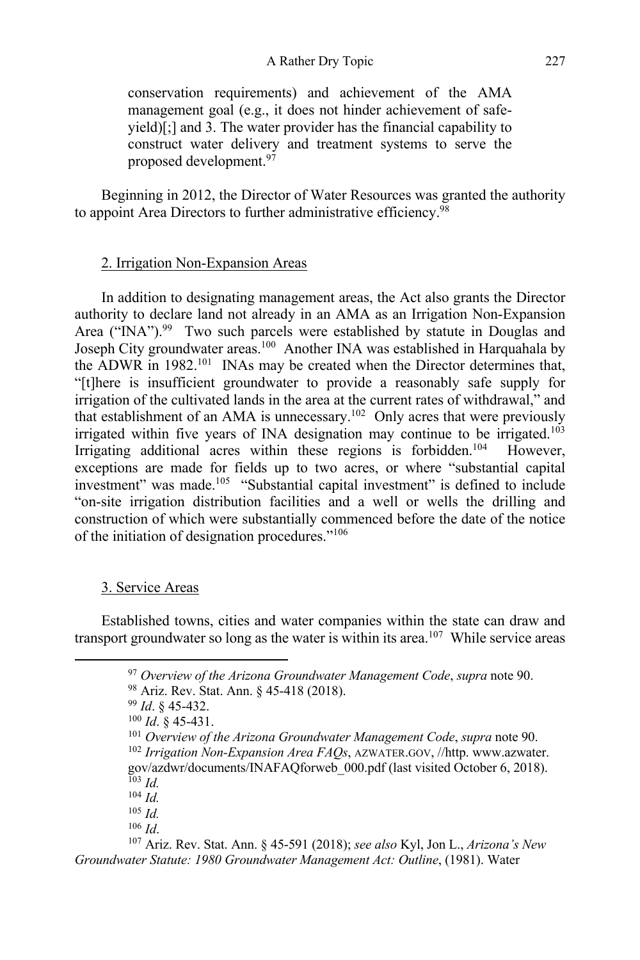conservation requirements) and achievement of the AMA management goal (e.g., it does not hinder achievement of safeyield)[;] and 3. The water provider has the financial capability to construct water delivery and treatment systems to serve the proposed development.97

Beginning in 2012, the Director of Water Resources was granted the authority to appoint Area Directors to further administrative efficiency.<sup>98</sup>

### 2. Irrigation Non-Expansion Areas

In addition to designating management areas, the Act also grants the Director authority to declare land not already in an AMA as an Irrigation Non-Expansion Area ("INA").<sup>99</sup> Two such parcels were established by statute in Douglas and Joseph City groundwater areas.100 Another INA was established in Harquahala by the ADWR in  $1982$ <sup>101</sup> INAs may be created when the Director determines that, "[t]here is insufficient groundwater to provide a reasonably safe supply for irrigation of the cultivated lands in the area at the current rates of withdrawal," and that establishment of an AMA is unnecessary.102 Only acres that were previously irrigated within five years of INA designation may continue to be irrigated.<sup>103</sup> Irrigating additional acres within these regions is forbidden.<sup>104</sup> However, exceptions are made for fields up to two acres, or where "substantial capital investment" was made.105 "Substantial capital investment" is defined to include "on-site irrigation distribution facilities and a well or wells the drilling and construction of which were substantially commenced before the date of the notice of the initiation of designation procedures."106

# 3. Service Areas

Established towns, cities and water companies within the state can draw and transport groundwater so long as the water is within its area.<sup>107</sup> While service areas

<sup>97</sup> *Overview of the Arizona Groundwater Management Code*, *supra* note 90.

<sup>98</sup> Ariz. Rev. Stat. Ann. § 45-418 (2018).

<sup>99</sup> *Id*. § 45-432.

<sup>100</sup> *Id*. § 45-431.

<sup>&</sup>lt;sup>101</sup> *Overview of the Arizona Groundwater Management Code, supra* note 90.<br><sup>102</sup> *Irrigation Non-Expansion Area FAQs, AZWATER.GOV, //http. www.azwater.* <sup>102</sup> *Irrigation Non-Expansion Area FAQs*, AZWATER.GOV, //http. www.azwater. gov/azdwr/documents/INAFAQforweb\_000.pdf (last visited October 6, 2018). <sup>103</sup> *Id.*

<sup>104</sup> *Id.*

<sup>105</sup> *Id.*

<sup>106</sup> *Id*.

<sup>107</sup> Ariz. Rev. Stat. Ann. § 45-591 (2018); *see also* Kyl, Jon L., *Arizona's New Groundwater Statute: 1980 Groundwater Management Act: Outline*, (1981). Water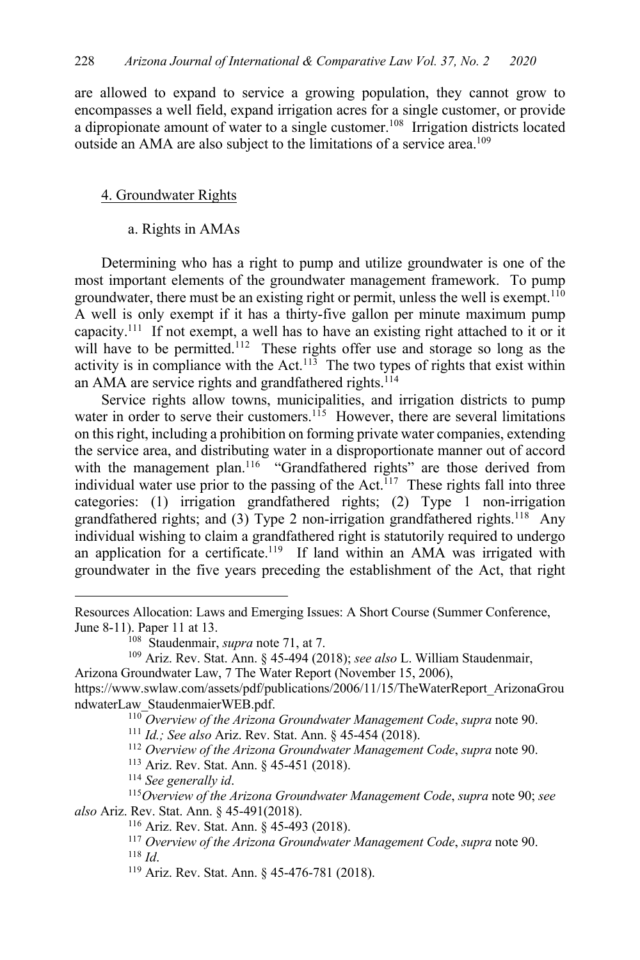are allowed to expand to service a growing population, they cannot grow to encompasses a well field, expand irrigation acres for a single customer, or provide a dipropionate amount of water to a single customer.<sup>108</sup> Irrigation districts located outside an AMA are also subject to the limitations of a service area.<sup>109</sup>

#### 4. Groundwater Rights

a. Rights in AMAs

Determining who has a right to pump and utilize groundwater is one of the most important elements of the groundwater management framework. To pump groundwater, there must be an existing right or permit, unless the well is exempt.<sup>110</sup> A well is only exempt if it has a thirty-five gallon per minute maximum pump capacity.111 If not exempt, a well has to have an existing right attached to it or it will have to be permitted.<sup>112</sup> These rights offer use and storage so long as the activity is in compliance with the Act.<sup>113</sup> The two types of rights that exist within an AMA are service rights and grandfathered rights.<sup>114</sup>

Service rights allow towns, municipalities, and irrigation districts to pump water in order to serve their customers.<sup>115</sup> However, there are several limitations on this right, including a prohibition on forming private water companies, extending the service area, and distributing water in a disproportionate manner out of accord with the management plan.<sup>116</sup> "Grandfathered rights" are those derived from individual water use prior to the passing of the Act.<sup> $117$ </sup> These rights fall into three categories: (1) irrigation grandfathered rights; (2) Type 1 non-irrigation grandfathered rights; and (3) Type 2 non-irrigation grandfathered rights.<sup>118</sup> Any individual wishing to claim a grandfathered right is statutorily required to undergo an application for a certificate.<sup>119</sup> If land within an AMA was irrigated with groundwater in the five years preceding the establishment of the Act, that right

<sup>114</sup> *See generally id*.

<sup>118</sup> *Id*.

Resources Allocation: Laws and Emerging Issues: A Short Course (Summer Conference, June 8-11). Paper 11 at 13.

<sup>108</sup> Staudenmair, *supra* note 71, at 7.

<sup>109</sup> Ariz. Rev. Stat. Ann. § 45-494 (2018); *see also* L. William Staudenmair, Arizona Groundwater Law, 7 The Water Report (November 15, 2006), https://www.swlaw.com/assets/pdf/publications/2006/11/15/TheWaterReport\_ArizonaGrou

ndwaterLaw\_StaudenmaierWEB.pdf.

<sup>110</sup> *Overview of the Arizona Groundwater Management Code*, *supra* note 90.

<sup>111</sup> *Id.; See also* Ariz. Rev. Stat. Ann. § 45-454 (2018).

<sup>112</sup> *Overview of the Arizona Groundwater Management Code*, *supra* note 90.

<sup>113</sup> Ariz. Rev. Stat. Ann. § 45-451 (2018).

<sup>115</sup>*Overview of the Arizona Groundwater Management Code*, *supra* note 90; *see also* Ariz. Rev. Stat. Ann. § 45-491(2018).

<sup>116</sup> Ariz. Rev. Stat. Ann. § 45-493 (2018).

<sup>117</sup> *Overview of the Arizona Groundwater Management Code*, *supra* note 90.

<sup>119</sup> Ariz. Rev. Stat. Ann. § 45-476-781 (2018).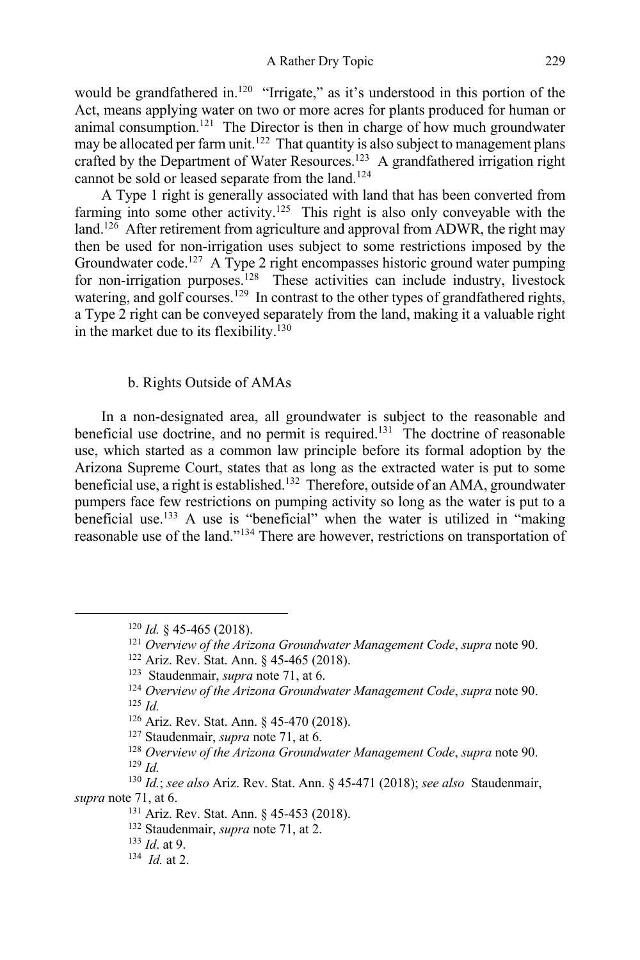would be grandfathered in.<sup>120</sup> "Irrigate," as it's understood in this portion of the Act, means applying water on two or more acres for plants produced for human or animal consumption.<sup>121</sup> The Director is then in charge of how much groundwater may be allocated per farm unit.<sup>122</sup> That quantity is also subject to management plans crafted by the Department of Water Resources.<sup>123</sup> A grandfathered irrigation right cannot be sold or leased separate from the land.<sup>124</sup>

A Type 1 right is generally associated with land that has been converted from farming into some other activity.<sup>125</sup> This right is also only conveyable with the land.<sup>126</sup> After retirement from agriculture and approval from ADWR, the right may then be used for non-irrigation uses subject to some restrictions imposed by the Groundwater code.<sup>127</sup> A Type 2 right encompasses historic ground water pumping for non-irrigation purposes.128 These activities can include industry, livestock watering, and golf courses.<sup>129</sup> In contrast to the other types of grandfathered rights, a Type 2 right can be conveyed separately from the land, making it a valuable right in the market due to its flexibility.<sup>130</sup>

### b. Rights Outside of AMAs

In a non-designated area, all groundwater is subject to the reasonable and beneficial use doctrine, and no permit is required.<sup>131</sup> The doctrine of reasonable use, which started as a common law principle before its formal adoption by the Arizona Supreme Court, states that as long as the extracted water is put to some beneficial use, a right is established.<sup>132</sup> Therefore, outside of an AMA, groundwater pumpers face few restrictions on pumping activity so long as the water is put to a beneficial use.<sup>133</sup> A use is "beneficial" when the water is utilized in "making reasonable use of the land."134 There are however, restrictions on transportation of

<sup>127</sup> Staudenmair, *supra* note 71, at 6.

<sup>120</sup> *Id.* § 45-465 (2018).

<sup>121</sup> *Overview of the Arizona Groundwater Management Code*, *supra* note 90.

<sup>&</sup>lt;sup>122</sup> Ariz. Rev. Stat. Ann. § 45-465 (2018).<br><sup>123</sup> Staudenmair, *supra* note 71, at 6.

<sup>&</sup>lt;sup>124</sup> Overview of the Arizona Groundwater Management Code, supra note 90. <sup>125</sup> *Id.*

<sup>126</sup> Ariz. Rev. Stat. Ann. § 45-470 (2018).

<sup>128</sup> *Overview of the Arizona Groundwater Management Code*, *supra* note 90. <sup>129</sup> *Id.*

<sup>130</sup> *Id.*; *see also* Ariz. Rev. Stat. Ann. § 45-471 (2018); *see also* Staudenmair, *supra* note 71, at 6.

<sup>131</sup> Ariz. Rev. Stat. Ann. § 45-453 (2018).

<sup>132</sup> Staudenmair, *supra* note 71, at 2.

<sup>133</sup> *Id*. at 9.

<sup>134</sup> *Id.* at 2.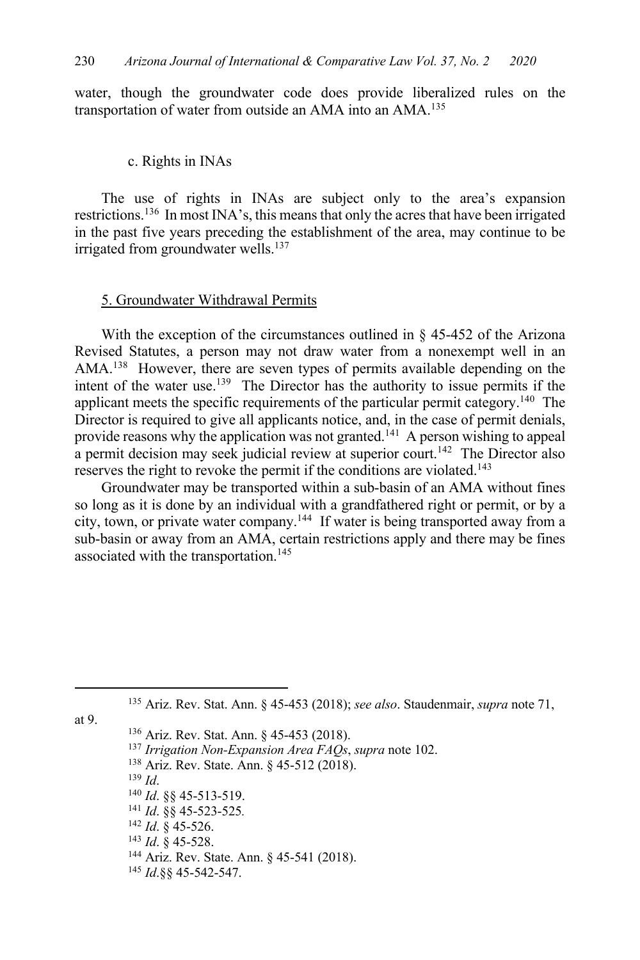water, though the groundwater code does provide liberalized rules on the transportation of water from outside an AMA into an AMA.135

## c. Rights in INAs

The use of rights in INAs are subject only to the area's expansion restrictions.136 In most INA's, this means that only the acres that have been irrigated in the past five years preceding the establishment of the area, may continue to be irrigated from groundwater wells. $137$ 

#### 5. Groundwater Withdrawal Permits

With the exception of the circumstances outlined in § 45-452 of the Arizona Revised Statutes, a person may not draw water from a nonexempt well in an AMA.<sup>138</sup> However, there are seven types of permits available depending on the intent of the water use.<sup>139</sup> The Director has the authority to issue permits if the applicant meets the specific requirements of the particular permit category.140 The Director is required to give all applicants notice, and, in the case of permit denials, provide reasons why the application was not granted.<sup>141</sup> A person wishing to appeal a permit decision may seek judicial review at superior court.<sup>142</sup> The Director also reserves the right to revoke the permit if the conditions are violated.<sup>143</sup>

Groundwater may be transported within a sub-basin of an AMA without fines so long as it is done by an individual with a grandfathered right or permit, or by a city, town, or private water company.144 If water is being transported away from a sub-basin or away from an AMA, certain restrictions apply and there may be fines associated with the transportation.<sup>145</sup>

at 9.

<sup>136</sup> Ariz. Rev. Stat. Ann. § 45-453 (2018).

- <sup>137</sup> *Irrigation Non-Expansion Area FAQs*, *supra* note 102.
- <sup>138</sup> Ariz. Rev. State. Ann. § 45-512 (2018).

<sup>139</sup> *Id*.

- <sup>140</sup> *Id*. §§ 45-513-519.
- <sup>141</sup> *Id*. §§ 45-523-525*.*
- <sup>142</sup> *Id*. § 45-526.
- <sup>143</sup> *Id*. § 45-528.
- <sup>144</sup> Ariz. Rev. State. Ann. § 45-541 (2018).
- <sup>145</sup> *Id*.§§ 45-542-547.

<sup>135</sup> Ariz. Rev. Stat. Ann. § 45-453 (2018); *see also*. Staudenmair, *supra* note 71,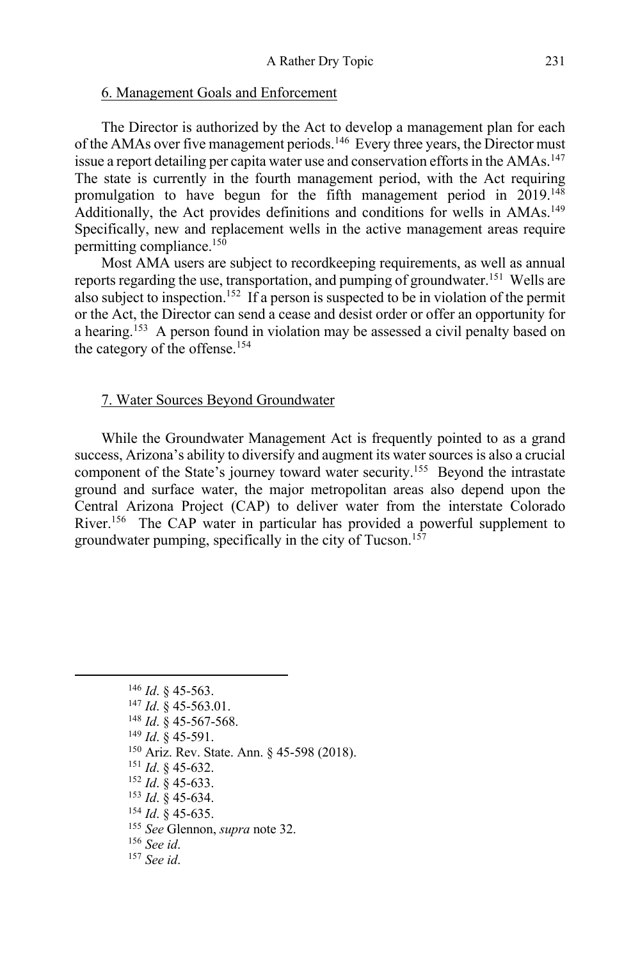### 6. Management Goals and Enforcement

The Director is authorized by the Act to develop a management plan for each of the AMAs over five management periods.<sup>146</sup> Every three years, the Director must issue a report detailing per capita water use and conservation efforts in the AMAs.<sup>147</sup> The state is currently in the fourth management period, with the Act requiring promulgation to have begun for the fifth management period in 2019.148 Additionally, the Act provides definitions and conditions for wells in AMAs.<sup>149</sup> Specifically, new and replacement wells in the active management areas require permitting compliance.150

Most AMA users are subject to recordkeeping requirements, as well as annual reports regarding the use, transportation, and pumping of groundwater.<sup>151</sup> Wells are also subject to inspection.152 If a person is suspected to be in violation of the permit or the Act, the Director can send a cease and desist order or offer an opportunity for a hearing.<sup>153</sup> A person found in violation may be assessed a civil penalty based on the category of the offense.154

### 7. Water Sources Beyond Groundwater

While the Groundwater Management Act is frequently pointed to as a grand success, Arizona's ability to diversify and augment its water sources is also a crucial component of the State's journey toward water security.155 Beyond the intrastate ground and surface water, the major metropolitan areas also depend upon the Central Arizona Project (CAP) to deliver water from the interstate Colorado River.156 The CAP water in particular has provided a powerful supplement to groundwater pumping, specifically in the city of Tucson.157

- <sup>151</sup> *Id*. § 45-632.
- <sup>152</sup> *Id*. § 45-633.
- <sup>153</sup> *Id*. § 45-634.
- <sup>154</sup> *Id*. § 45-635.
- <sup>155</sup> *See* Glennon, *supra* note 32.

<sup>156</sup> *See id*.

<sup>146</sup> *Id*. § 45-563.

<sup>147</sup> *Id*. § 45-563.01.

<sup>148</sup> *Id*. § 45-567-568.

<sup>149</sup> *Id*. § 45-591.

<sup>150</sup> Ariz. Rev. State. Ann. § 45-598 (2018).

<sup>157</sup> *See id*.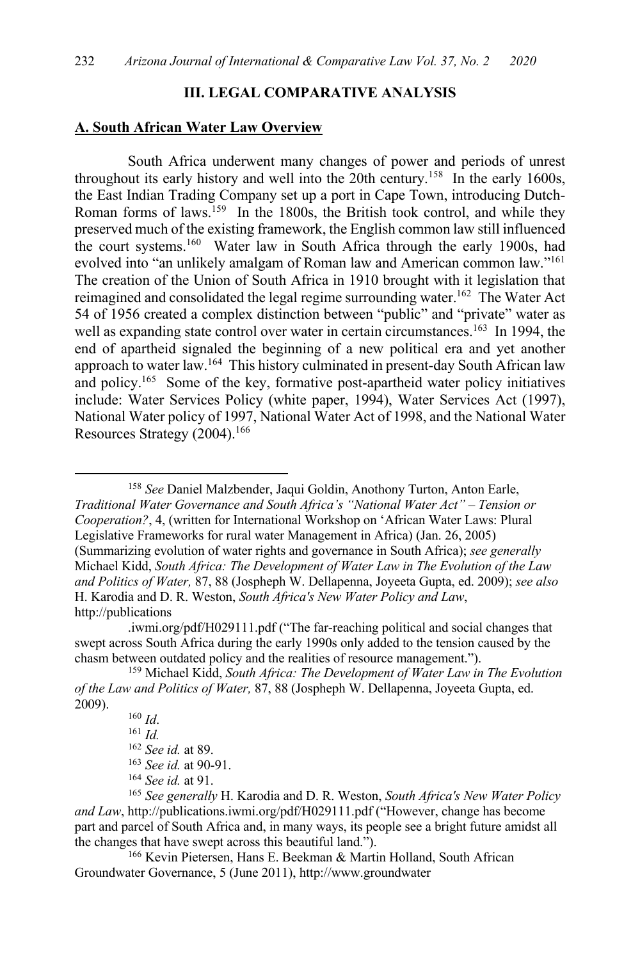### **III. LEGAL COMPARATIVE ANALYSIS**

#### **A. South African Water Law Overview**

South Africa underwent many changes of power and periods of unrest throughout its early history and well into the 20th century.158 In the early 1600s, the East Indian Trading Company set up a port in Cape Town, introducing Dutch-Roman forms of laws.<sup>159</sup> In the 1800s, the British took control, and while they preserved much of the existing framework, the English common law still influenced the court systems.<sup>160</sup> Water law in South Africa through the early 1900s, had evolved into "an unlikely amalgam of Roman law and American common law."161 The creation of the Union of South Africa in 1910 brought with it legislation that reimagined and consolidated the legal regime surrounding water.<sup>162</sup> The Water Act 54 of 1956 created a complex distinction between "public" and "private" water as well as expanding state control over water in certain circumstances.<sup>163</sup> In 1994, the end of apartheid signaled the beginning of a new political era and yet another approach to water law.164 This history culminated in present-day South African law and policy.<sup>165</sup> Some of the key, formative post-apartheid water policy initiatives include: Water Services Policy (white paper, 1994), Water Services Act (1997), National Water policy of 1997, National Water Act of 1998, and the National Water Resources Strategy (2004).166

<sup>158</sup> *See* Daniel Malzbender, Jaqui Goldin, Anothony Turton, Anton Earle, *Traditional Water Governance and South Africa's "National Water Act" – Tension or Cooperation?*, 4, (written for International Workshop on 'African Water Laws: Plural Legislative Frameworks for rural water Management in Africa) (Jan. 26, 2005) (Summarizing evolution of water rights and governance in South Africa); *see generally*  Michael Kidd, *South Africa: The Development of Water Law in The Evolution of the Law and Politics of Water,* 87, 88 (Jospheph W. Dellapenna, Joyeeta Gupta, ed. 2009); *see also* H. Karodia and D. R. Weston, *South Africa's New Water Policy and Law*, http://publications

.iwmi.org/pdf/H029111.pdf ("The far-reaching political and social changes that swept across South Africa during the early 1990s only added to the tension caused by the chasm between outdated policy and the realities of resource management.").

<sup>166</sup> Kevin Pietersen, Hans E. Beekman & Martin Holland, South African Groundwater Governance, 5 (June 2011), http://www.groundwater

<sup>159</sup> Michael Kidd, *South Africa: The Development of Water Law in The Evolution of the Law and Politics of Water,* 87, 88 (Jospheph W. Dellapenna, Joyeeta Gupta, ed. 2009).

<sup>160</sup> *Id*.

<sup>161</sup> *Id.*

<sup>162</sup> *See id.* at 89.

<sup>163</sup> *See id.* at 90-91.

<sup>164</sup> *See id.* at 91.

<sup>165</sup> *See generally* H. Karodia and D. R. Weston, *South Africa's New Water Policy and Law*, http://publications.iwmi.org/pdf/H029111.pdf ("However, change has become part and parcel of South Africa and, in many ways, its people see a bright future amidst all the changes that have swept across this beautiful land.").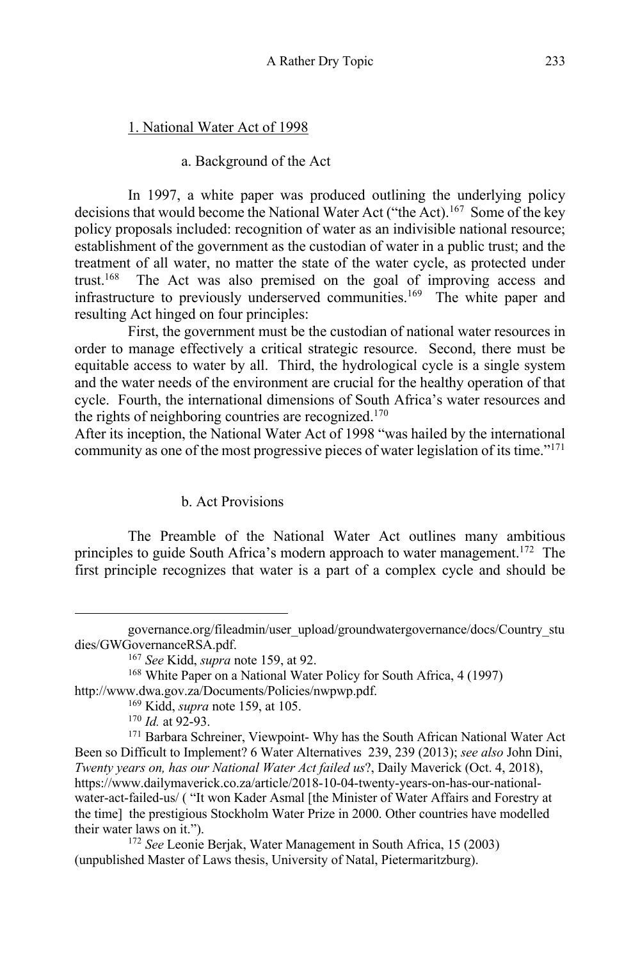## 1. National Water Act of 1998

### a. Background of the Act

In 1997, a white paper was produced outlining the underlying policy decisions that would become the National Water Act ("the Act).167 Some of the key policy proposals included: recognition of water as an indivisible national resource; establishment of the government as the custodian of water in a public trust; and the treatment of all water, no matter the state of the water cycle, as protected under trust.168 The Act was also premised on the goal of improving access and infrastructure to previously underserved communities.<sup>169</sup> The white paper and resulting Act hinged on four principles:

First, the government must be the custodian of national water resources in order to manage effectively a critical strategic resource. Second, there must be equitable access to water by all. Third, the hydrological cycle is a single system and the water needs of the environment are crucial for the healthy operation of that cycle. Fourth, the international dimensions of South Africa's water resources and the rights of neighboring countries are recognized.170

After its inception, the National Water Act of 1998 "was hailed by the international community as one of the most progressive pieces of water legislation of its time."171

# b. Act Provisions

The Preamble of the National Water Act outlines many ambitious principles to guide South Africa's modern approach to water management.<sup>172</sup> The first principle recognizes that water is a part of a complex cycle and should be

governance.org/fileadmin/user\_upload/groundwatergovernance/docs/Country\_stu dies/GWGovernanceRSA.pdf.

<sup>&</sup>lt;sup>167</sup> *See* Kidd, *supra* note 159, at 92.<br><sup>168</sup> White Paper on a National Water Policy for South Africa, 4 (1997) http://www.dwa.gov.za/Documents/Policies/nwpwp.pdf.

<sup>169</sup> Kidd, *supra* note 159, at 105.

 $170$  *Id.* at 92-93.

<sup>&</sup>lt;sup>171</sup> Barbara Schreiner, Viewpoint- Why has the South African National Water Act Been so Difficult to Implement? 6 Water Alternatives 239, 239 (2013); *see also* John Dini, *Twenty years on, has our National Water Act failed us*?, Daily Maverick (Oct. 4, 2018), https://www.dailymaverick.co.za/article/2018-10-04-twenty-years-on-has-our-nationalwater-act-failed-us/ ( "It won Kader Asmal [the Minister of Water Affairs and Forestry at the time] the prestigious Stockholm Water Prize in 2000. Other countries have modelled their water laws on it.").

<sup>172</sup> *See* Leonie Berjak, Water Management in South Africa, 15 (2003) (unpublished Master of Laws thesis, University of Natal, Pietermaritzburg).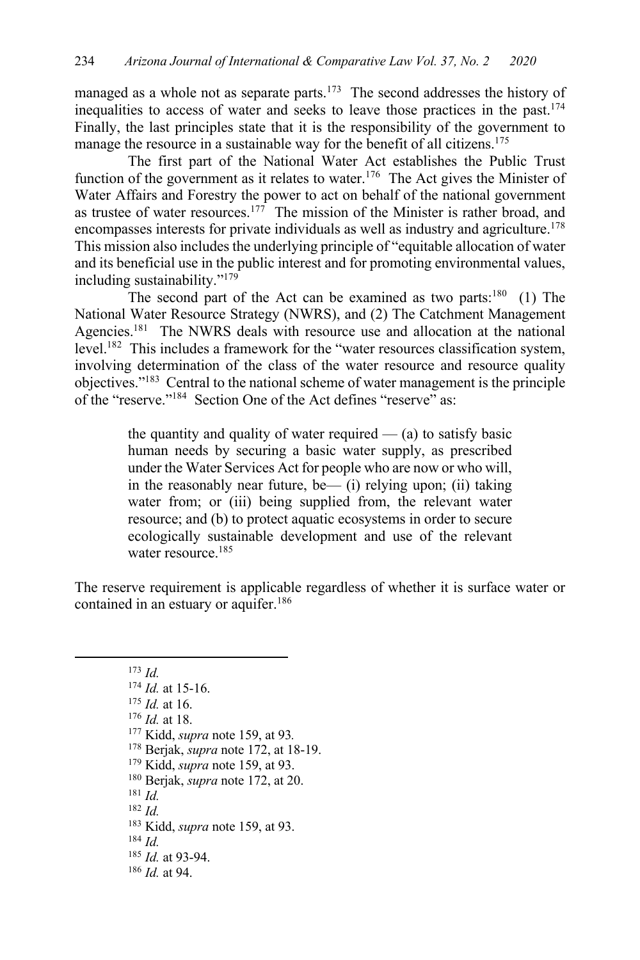managed as a whole not as separate parts.<sup>173</sup> The second addresses the history of inequalities to access of water and seeks to leave those practices in the past.174 Finally, the last principles state that it is the responsibility of the government to manage the resource in a sustainable way for the benefit of all citizens.<sup>175</sup>

The first part of the National Water Act establishes the Public Trust function of the government as it relates to water.<sup>176</sup> The Act gives the Minister of Water Affairs and Forestry the power to act on behalf of the national government as trustee of water resources.<sup>177</sup> The mission of the Minister is rather broad, and encompasses interests for private individuals as well as industry and agriculture.<sup>178</sup> This mission also includes the underlying principle of "equitable allocation of water and its beneficial use in the public interest and for promoting environmental values, including sustainability."179

The second part of the Act can be examined as two parts: $180$  (1) The National Water Resource Strategy (NWRS), and (2) The Catchment Management Agencies.<sup>181</sup> The NWRS deals with resource use and allocation at the national level.182 This includes a framework for the "water resources classification system, involving determination of the class of the water resource and resource quality objectives."183 Central to the national scheme of water management is the principle of the "reserve."<sup>184</sup> Section One of the Act defines "reserve" as:

> the quantity and quality of water required  $-$  (a) to satisfy basic human needs by securing a basic water supply, as prescribed under the Water Services Act for people who are now or who will, in the reasonably near future, be— (i) relying upon; (ii) taking water from; or (iii) being supplied from, the relevant water resource; and (b) to protect aquatic ecosystems in order to secure ecologically sustainable development and use of the relevant water resource.<sup>185</sup>

The reserve requirement is applicable regardless of whether it is surface water or contained in an estuary or aquifer.<sup>186</sup>

<sup>173</sup> *Id.*

- <sup>177</sup> Kidd, *supra* note 159, at 93*.*
- <sup>178</sup> Berjak, *supra* note 172, at 18-19. 179 Kidd, *supra* note 159, at 93.
- 
- <sup>180</sup> Berjak, *supra* note 172, at 20.
- <sup>181</sup> *Id.*
- <sup>182</sup> *Id.*
- <sup>183</sup> Kidd, *supra* note 159, at 93.
- <sup>184</sup> *Id.*
- <sup>185</sup> *Id.* at 93-94.
- <sup>186</sup> *Id.* at 94.

<sup>174</sup> *Id.* at 15-16.

<sup>175</sup> *Id.* at 16.

<sup>176</sup> *Id.* at 18.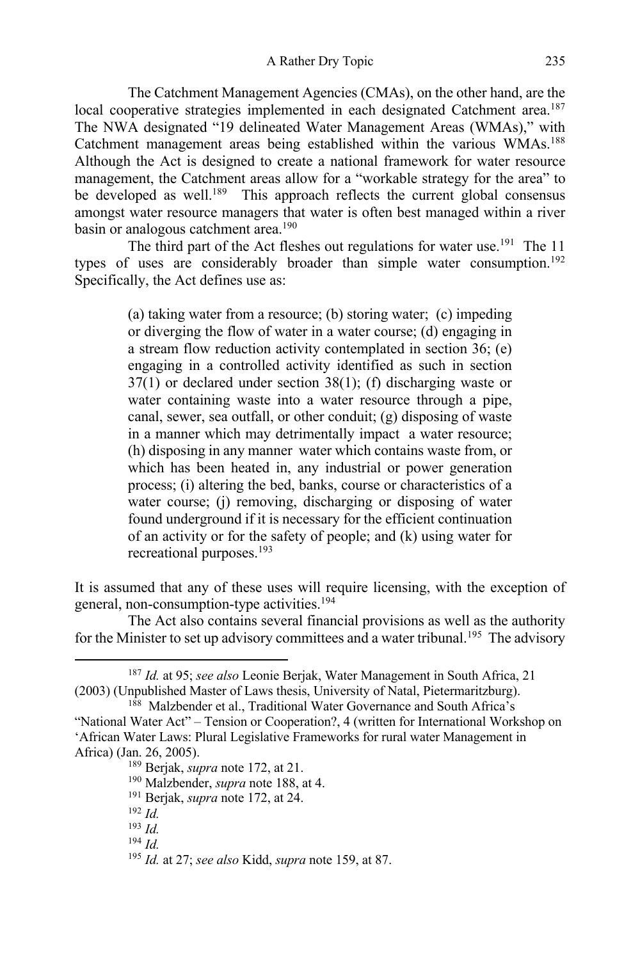The Catchment Management Agencies (CMAs), on the other hand, are the local cooperative strategies implemented in each designated Catchment area.<sup>187</sup> The NWA designated "19 delineated Water Management Areas (WMAs)," with Catchment management areas being established within the various WMAs.188 Although the Act is designed to create a national framework for water resource management, the Catchment areas allow for a "workable strategy for the area" to be developed as well.<sup>189</sup> This approach reflects the current global consensus amongst water resource managers that water is often best managed within a river basin or analogous catchment area.<sup>190</sup>

The third part of the Act fleshes out regulations for water use.<sup>191</sup> The 11 types of uses are considerably broader than simple water consumption.<sup>192</sup> Specifically, the Act defines use as:

> (a) taking water from a resource; (b) storing water; (c) impeding or diverging the flow of water in a water course; (d) engaging in a stream flow reduction activity contemplated in section 36; (e) engaging in a controlled activity identified as such in section 37(1) or declared under section 38(1); (f) discharging waste or water containing waste into a water resource through a pipe, canal, sewer, sea outfall, or other conduit; (g) disposing of waste in a manner which may detrimentally impact a water resource; (h) disposing in any manner water which contains waste from, or which has been heated in, any industrial or power generation process; (i) altering the bed, banks, course or characteristics of a water course; (j) removing, discharging or disposing of water found underground if it is necessary for the efficient continuation of an activity or for the safety of people; and (k) using water for recreational purposes.<sup>193</sup>

It is assumed that any of these uses will require licensing, with the exception of general, non-consumption-type activities.194

The Act also contains several financial provisions as well as the authority for the Minister to set up advisory committees and a water tribunal.<sup>195</sup> The advisory

<sup>191</sup> Berjak, *supra* note 172, at 24.

<sup>187</sup> *Id.* at 95; *see also* Leonie Berjak, Water Management in South Africa, 21 (2003) (Unpublished Master of Laws thesis, University of Natal, Pietermaritzburg).

<sup>188</sup> Malzbender et al., Traditional Water Governance and South Africa's "National Water Act" – Tension or Cooperation?, 4 (written for International Workshop on 'African Water Laws: Plural Legislative Frameworks for rural water Management in Africa) (Jan. 26, 2005).

<sup>189</sup> Berjak, *supra* note 172, at 21.

<sup>190</sup> Malzbender, *supra* note 188, at 4.

<sup>192</sup> *Id.*

<sup>193</sup> *Id.*

<sup>194</sup> *Id.*

<sup>195</sup> *Id.* at 27; *see also* Kidd, *supra* note 159, at 87.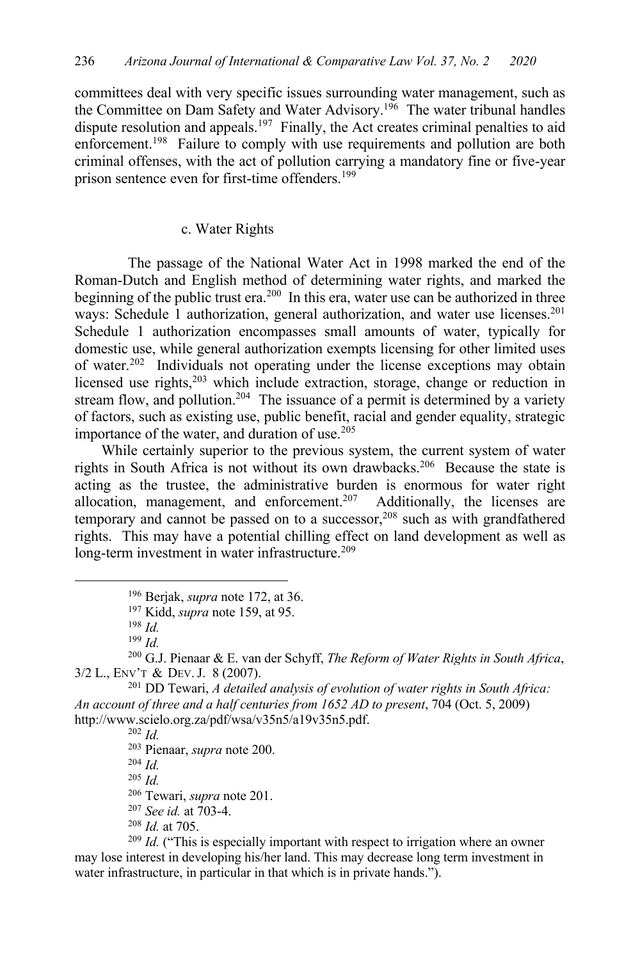committees deal with very specific issues surrounding water management, such as the Committee on Dam Safety and Water Advisory.<sup>196</sup> The water tribunal handles dispute resolution and appeals.<sup>197</sup> Finally, the Act creates criminal penalties to aid enforcement.<sup>198</sup> Failure to comply with use requirements and pollution are both criminal offenses, with the act of pollution carrying a mandatory fine or five-year prison sentence even for first-time offenders.<sup>199</sup>

#### c. Water Rights

The passage of the National Water Act in 1998 marked the end of the Roman-Dutch and English method of determining water rights, and marked the beginning of the public trust era.<sup>200</sup> In this era, water use can be authorized in three ways: Schedule 1 authorization, general authorization, and water use licenses.<sup>201</sup> Schedule 1 authorization encompasses small amounts of water, typically for domestic use, while general authorization exempts licensing for other limited uses of water.<sup>202</sup> Individuals not operating under the license exceptions may obtain licensed use rights,<sup>203</sup> which include extraction, storage, change or reduction in stream flow, and pollution.<sup>204</sup> The issuance of a permit is determined by a variety of factors, such as existing use, public benefit, racial and gender equality, strategic importance of the water, and duration of use.<sup>205</sup>

While certainly superior to the previous system, the current system of water rights in South Africa is not without its own drawbacks.206 Because the state is acting as the trustee, the administrative burden is enormous for water right allocation, management, and enforcement.<sup>207</sup> Additionally, the licenses are temporary and cannot be passed on to a successor,<sup>208</sup> such as with grandfathered rights. This may have a potential chilling effect on land development as well as long-term investment in water infrastructure.<sup>209</sup>

<sup>200</sup> G.J. Pienaar & E. van der Schyff, *The Reform of Water Rights in South Africa*, 3/2 L., ENV'T & DEV.J. 8 (2007).

<sup>201</sup> DD Tewari, *A detailed analysis of evolution of water rights in South Africa: An account of three and a half centuries from 1652 AD to present*, 704 (Oct. 5, 2009) http://www.scielo.org.za/pdf/wsa/v35n5/a19v35n5.pdf.

<sup>202</sup> *Id.*

<sup>203</sup> Pienaar, *supra* note 200.

<sup>204</sup> *Id.*

<sup>205</sup> *Id.*

<sup>206</sup> Tewari, *supra* note 201.

<sup>207</sup> *See id.* at 703-4.

<sup>208</sup> *Id.* at 705.

<sup>209</sup> *Id.* ("This is especially important with respect to irrigation where an owner may lose interest in developing his/her land. This may decrease long term investment in water infrastructure, in particular in that which is in private hands.").

<sup>196</sup> Berjak, *supra* note 172, at 36.

<sup>197</sup> Kidd, *supra* note 159, at 95.

<sup>198</sup> *Id.*

<sup>199</sup> *Id.*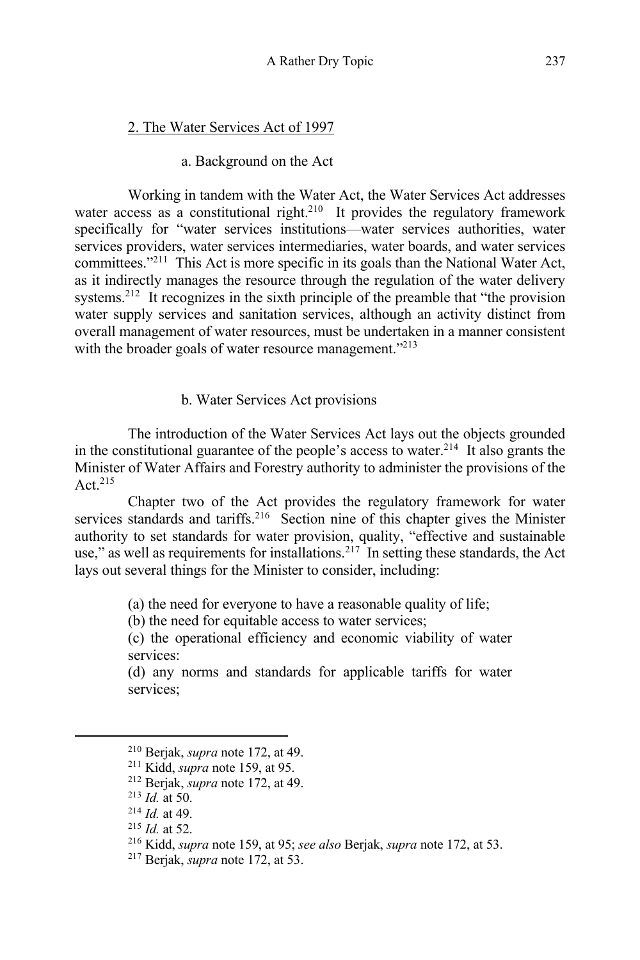# 2. The Water Services Act of 1997

## a. Background on the Act

Working in tandem with the Water Act, the Water Services Act addresses water access as a constitutional right.<sup>210</sup> It provides the regulatory framework specifically for "water services institutions—water services authorities, water services providers, water services intermediaries, water boards, and water services committees."211 This Act is more specific in its goals than the National Water Act, as it indirectly manages the resource through the regulation of the water delivery systems.<sup>212</sup> It recognizes in the sixth principle of the preamble that "the provision" water supply services and sanitation services, although an activity distinct from overall management of water resources, must be undertaken in a manner consistent with the broader goals of water resource management."<sup>213</sup>

## b. Water Services Act provisions

The introduction of the Water Services Act lays out the objects grounded in the constitutional guarantee of the people's access to water.<sup>214</sup> It also grants the Minister of Water Affairs and Forestry authority to administer the provisions of the Act. $215$ 

Chapter two of the Act provides the regulatory framework for water services standards and tariffs.<sup>216</sup> Section nine of this chapter gives the Minister authority to set standards for water provision, quality, "effective and sustainable use," as well as requirements for installations.<sup>217</sup> In setting these standards, the Act lays out several things for the Minister to consider, including:

(a) the need for everyone to have a reasonable quality of life;

(b) the need for equitable access to water services;

(c) the operational efficiency and economic viability of water services:

(d) any norms and standards for applicable tariffs for water services;

<sup>210</sup> Berjak, *supra* note 172, at 49.

<sup>211</sup> Kidd, *supra* note 159, at 95.

<sup>212</sup> Berjak, *supra* note 172, at 49.

<sup>213</sup> *Id.* at 50.

<sup>214</sup> *Id.* at 49.

<sup>215</sup> *Id.* at 52.

<sup>216</sup> Kidd, *supra* note 159, at 95; *see also* Berjak, *supra* note 172, at 53. 217 Berjak, *supra* note 172, at 53.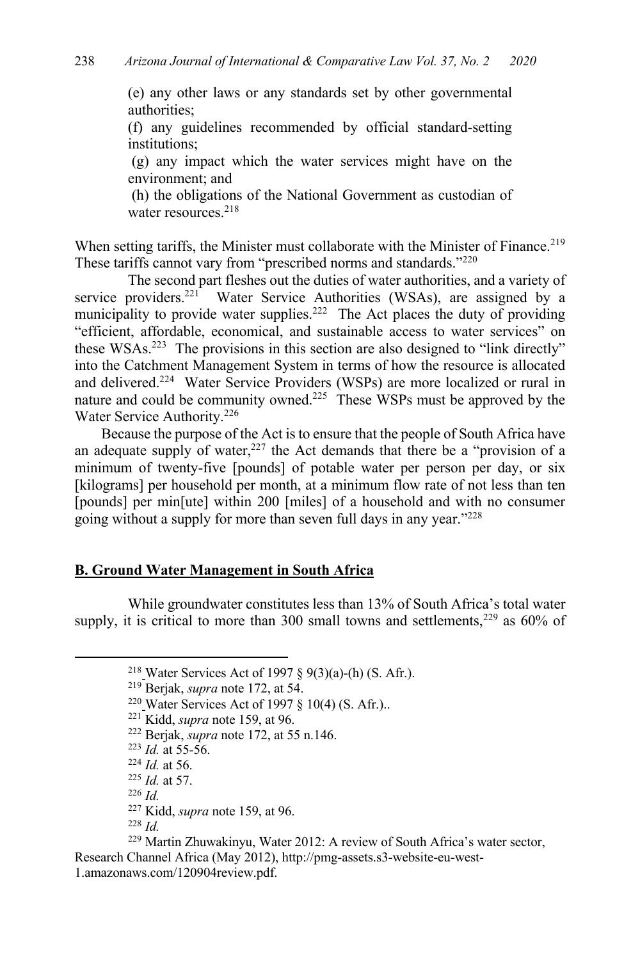(e) any other laws or any standards set by other governmental authorities;

(f) any guidelines recommended by official standard-setting institutions;

(g) any impact which the water services might have on the environment; and

(h) the obligations of the National Government as custodian of water resources.<sup>218</sup>

When setting tariffs, the Minister must collaborate with the Minister of Finance.<sup>219</sup> These tariffs cannot vary from "prescribed norms and standards."220

The second part fleshes out the duties of water authorities, and a variety of service providers.<sup>221</sup> Water Service Authorities (WSAs), are assigned by a municipality to provide water supplies.<sup>222</sup> The Act places the duty of providing "efficient, affordable, economical, and sustainable access to water services" on these WSAs.223 The provisions in this section are also designed to "link directly" into the Catchment Management System in terms of how the resource is allocated and delivered.224 Water Service Providers (WSPs) are more localized or rural in nature and could be community owned.<sup>225</sup> These WSPs must be approved by the Water Service Authority.226

Because the purpose of the Act is to ensure that the people of South Africa have an adequate supply of water, $227$  the Act demands that there be a "provision of a minimum of twenty-five [pounds] of potable water per person per day, or six [kilograms] per household per month, at a minimum flow rate of not less than ten [pounds] per min[ute] within 200 [miles] of a household and with no consumer going without a supply for more than seven full days in any year."228

## **B. Ground Water Management in South Africa**

While groundwater constitutes less than 13% of South Africa's total water supply, it is critical to more than 300 small towns and settlements,  $229$  as 60% of

<sup>221</sup> Kidd, *supra* note 159, at 96.

<sup>225</sup> *Id.* at 57.

<sup>226</sup> *Id.*

<sup>227</sup> Kidd, *supra* note 159, at 96.

<sup>228</sup> *Id.*

<sup>&</sup>lt;sup>218</sup> Water Services Act of 1997 § 9(3)(a)-(h) (S. Afr.).

<sup>219</sup> Berjak, *supra* note 172, at 54.

<sup>&</sup>lt;sup>220</sup> Water Services Act of 1997  $\S$  10(4) (S. Afr.)..

<sup>222</sup> Berjak, *supra* note 172, at 55 n.146.

 $223$  *Id.* at 55-56.

<sup>224</sup> *Id.* at 56.

<sup>229</sup> Martin Zhuwakinyu, Water 2012: A review of South Africa's water sector, Research Channel Africa (May 2012), http://pmg-assets.s3-website-eu-west-1.amazonaws.com/120904review.pdf.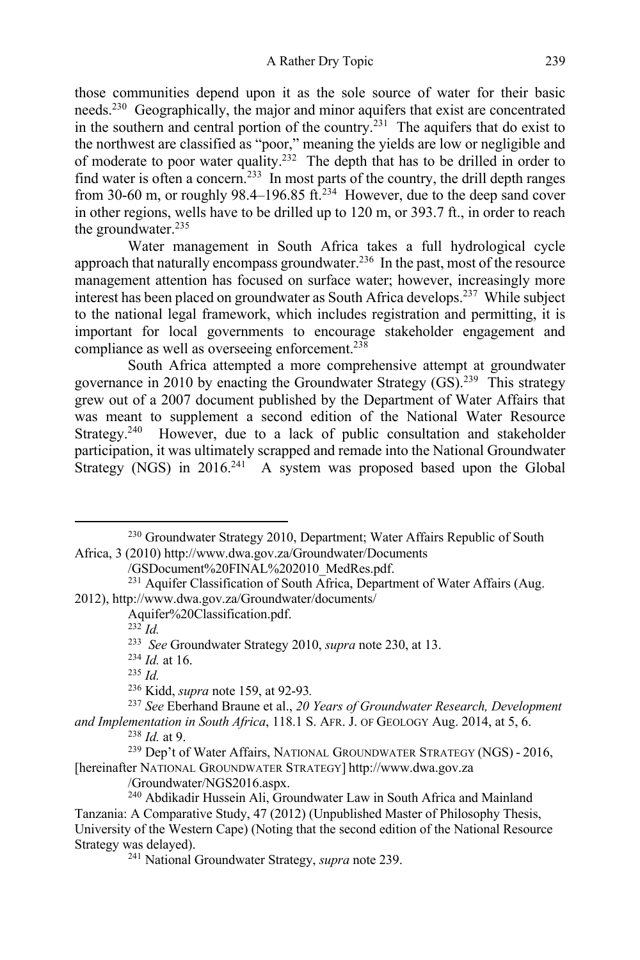A Rather Dry Topic 239

those communities depend upon it as the sole source of water for their basic needs.230 Geographically, the major and minor aquifers that exist are concentrated in the southern and central portion of the country.231 The aquifers that do exist to the northwest are classified as "poor," meaning the yields are low or negligible and of moderate to poor water quality.<sup>232</sup> The depth that has to be drilled in order to find water is often a concern.<sup>233</sup> In most parts of the country, the drill depth ranges from 30-60 m, or roughly 98.4–196.85 ft.<sup>234</sup> However, due to the deep sand cover in other regions, wells have to be drilled up to 120 m, or 393.7 ft., in order to reach the groundwater.<sup>235</sup>

Water management in South Africa takes a full hydrological cycle approach that naturally encompass groundwater.<sup>236</sup> In the past, most of the resource management attention has focused on surface water; however, increasingly more interest has been placed on groundwater as South Africa develops.237 While subject to the national legal framework, which includes registration and permitting, it is important for local governments to encourage stakeholder engagement and compliance as well as overseeing enforcement.<sup>238</sup>

South Africa attempted a more comprehensive attempt at groundwater governance in 2010 by enacting the Groundwater Strategy  $(GS)$ .<sup>239</sup> This strategy grew out of a 2007 document published by the Department of Water Affairs that was meant to supplement a second edition of the National Water Resource Strategy.<sup>240</sup> However, due to a lack of public consultation and stakeholder participation, it was ultimately scrapped and remade into the National Groundwater Strategy (NGS) in  $2016<sup>241</sup>$  A system was proposed based upon the Global

<sup>&</sup>lt;sup>230</sup> Groundwater Strategy 2010, Department; Water Affairs Republic of South Africa, 3 (2010) http://www.dwa.gov.za/Groundwater/Documents

<sup>/</sup>GSDocument%20FINAL%202010\_MedRes.pdf.

 $^{231}$  Aquifer Classification of South Africa, Department of Water Affairs (Aug. 2012), http://www.dwa.gov.za/Groundwater/documents/

Aquifer%20Classification.pdf.

<sup>232</sup> *Id.*

<sup>233</sup> *See* Groundwater Strategy 2010, *supra* note 230, at 13.

<sup>234</sup> *Id.* at 16.

<sup>235</sup> *Id.*

<sup>236</sup> Kidd, *supra* note 159, at 92-93*.*

<sup>237</sup> *See* Eberhand Braune et al., *20 Years of Groundwater Research, Development and Implementation in South Africa*, 118.1 S. AFR. J. OF GEOLOGY Aug. 2014, at 5, 6. 238 *Id.* at 9.

<sup>239</sup> Dep't of Water Affairs, NATIONAL GROUNDWATER STRATEGY (NGS) - 2016, [hereinafter NATIONAL GROUNDWATER STRATEGY] http://www.dwa.gov.za

<sup>/</sup>Groundwater/NGS2016.aspx.

<sup>240</sup> Abdikadir Hussein Ali, Groundwater Law in South Africa and Mainland Tanzania: A Comparative Study, 47 (2012) (Unpublished Master of Philosophy Thesis, University of the Western Cape) (Noting that the second edition of the National Resource Strategy was delayed).

<sup>241</sup> National Groundwater Strategy, *supra* note 239.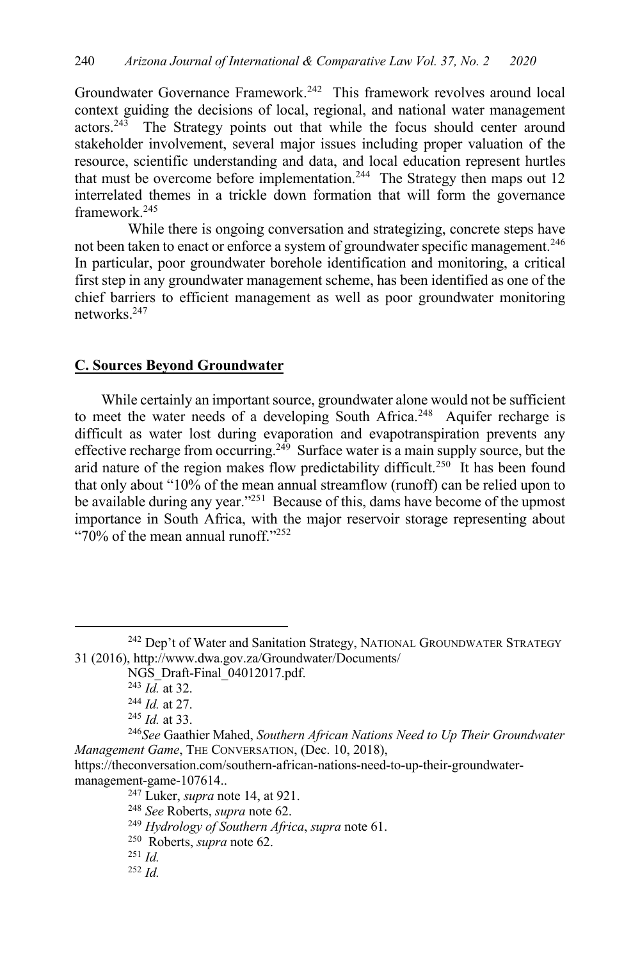Groundwater Governance Framework.<sup>242</sup> This framework revolves around local context guiding the decisions of local, regional, and national water management  $\arccos.243$  The Strategy points out that while the focus should center around stakeholder involvement, several major issues including proper valuation of the resource, scientific understanding and data, and local education represent hurtles that must be overcome before implementation.<sup>244</sup> The Strategy then maps out 12 interrelated themes in a trickle down formation that will form the governance framework.245

While there is ongoing conversation and strategizing, concrete steps have not been taken to enact or enforce a system of groundwater specific management.<sup>246</sup> In particular, poor groundwater borehole identification and monitoring, a critical first step in any groundwater management scheme, has been identified as one of the chief barriers to efficient management as well as poor groundwater monitoring networks.247

### **C. Sources Beyond Groundwater**

While certainly an important source, groundwater alone would not be sufficient to meet the water needs of a developing South Africa.<sup>248</sup> Aquifer recharge is difficult as water lost during evaporation and evapotranspiration prevents any effective recharge from occurring.<sup>249</sup> Surface water is a main supply source, but the arid nature of the region makes flow predictability difficult.<sup>250</sup> It has been found that only about "10% of the mean annual streamflow (runoff) can be relied upon to be available during any year."<sup>251</sup> Because of this, dams have become of the upmost importance in South Africa, with the major reservoir storage representing about " $70\%$  of the mean annual runoff." $^{252}$ 

<sup>252</sup> *Id.*

<sup>&</sup>lt;sup>242</sup> Dep't of Water and Sanitation Strategy, NATIONAL GROUNDWATER STRATEGY 31 (2016), http://www.dwa.gov.za/Groundwater/Documents/

NGS Draft-Final 04012017.pdf.

<sup>243</sup> *Id.* at 32.

<sup>244</sup> *Id.* at 27.

<sup>245</sup> *Id.* at 33.

<sup>246</sup>*See* Gaathier Mahed, *Southern African Nations Need to Up Their Groundwater Management Game*, THE CONVERSATION, (Dec. 10, 2018),

https://theconversation.com/southern-african-nations-need-to-up-their-groundwatermanagement-game-107614..

<sup>247</sup> Luker, *supra* note 14, at 921.

<sup>248</sup> *See* Roberts, *supra* note 62.

<sup>249</sup> *Hydrology of Southern Africa*, *supra* note 61.

<sup>250</sup> Roberts, *supra* note 62.

<sup>251</sup> *Id.*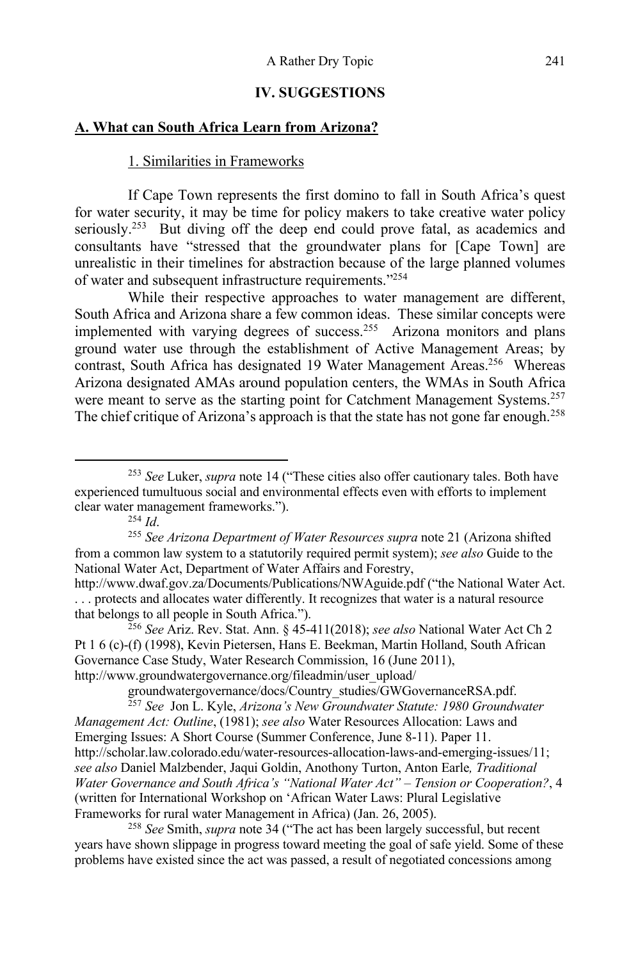## **IV. SUGGESTIONS**

## **A. What can South Africa Learn from Arizona?**

#### 1. Similarities in Frameworks

If Cape Town represents the first domino to fall in South Africa's quest for water security, it may be time for policy makers to take creative water policy seriously.<sup>253</sup> But diving off the deep end could prove fatal, as academics and consultants have "stressed that the groundwater plans for [Cape Town] are unrealistic in their timelines for abstraction because of the large planned volumes of water and subsequent infrastructure requirements."254

While their respective approaches to water management are different, South Africa and Arizona share a few common ideas. These similar concepts were implemented with varying degrees of success.<sup>255</sup> Arizona monitors and plans ground water use through the establishment of Active Management Areas; by contrast, South Africa has designated 19 Water Management Areas.<sup>256</sup> Whereas Arizona designated AMAs around population centers, the WMAs in South Africa were meant to serve as the starting point for Catchment Management Systems.<sup>257</sup> The chief critique of Arizona's approach is that the state has not gone far enough.<sup>258</sup>

<sup>256</sup> *See* Ariz. Rev. Stat. Ann. § 45-411(2018); *see also* National Water Act Ch 2 Pt 1 6 (c)-(f) (1998), Kevin Pietersen, Hans E. Beekman, Martin Holland, South African Governance Case Study, Water Research Commission, 16 (June 2011), http://www.groundwatergovernance.org/fileadmin/user\_upload/

groundwatergovernance/docs/Country\_studies/GWGovernanceRSA.pdf.

<sup>257</sup> *See* Jon L. Kyle, *Arizona's New Groundwater Statute: 1980 Groundwater Management Act: Outline*, (1981); *see also* Water Resources Allocation: Laws and Emerging Issues: A Short Course (Summer Conference, June 8-11). Paper 11. http://scholar.law.colorado.edu/water-resources-allocation-laws-and-emerging-issues/11; *see also* Daniel Malzbender, Jaqui Goldin, Anothony Turton, Anton Earle*, Traditional Water Governance and South Africa's "National Water Act" – Tension or Cooperation?*, 4 (written for International Workshop on 'African Water Laws: Plural Legislative Frameworks for rural water Management in Africa) (Jan. 26, 2005).

<sup>258</sup> *See* Smith, *supra* note 34 ("The act has been largely successful, but recent years have shown slippage in progress toward meeting the goal of safe yield. Some of these problems have existed since the act was passed, a result of negotiated concessions among

<sup>253</sup> *See* Luker, *supra* note 14 ("These cities also offer cautionary tales. Both have experienced tumultuous social and environmental effects even with efforts to implement clear water management frameworks.").

<sup>254</sup> *Id*.

<sup>255</sup> *See Arizona Department of Water Resources supra* note 21 (Arizona shifted from a common law system to a statutorily required permit system); *see also* Guide to the National Water Act, Department of Water Affairs and Forestry,

http://www.dwaf.gov.za/Documents/Publications/NWAguide.pdf ("the National Water Act. . . . protects and allocates water differently. It recognizes that water is a natural resource that belongs to all people in South Africa.").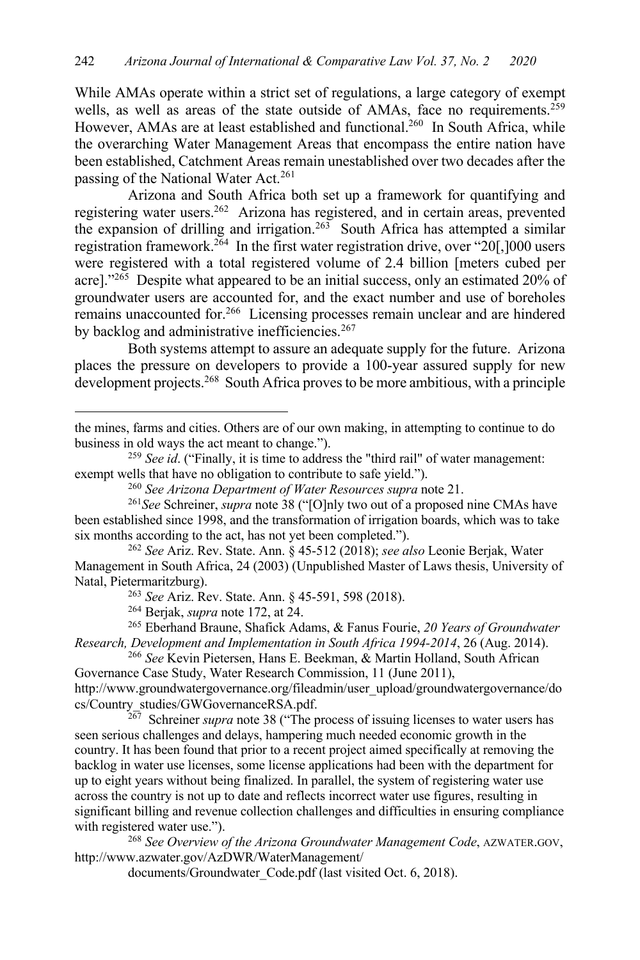While AMAs operate within a strict set of regulations, a large category of exempt wells, as well as areas of the state outside of AMAs, face no requirements.<sup>259</sup> However, AMAs are at least established and functional.<sup>260</sup> In South Africa, while the overarching Water Management Areas that encompass the entire nation have been established, Catchment Areas remain unestablished over two decades after the passing of the National Water Act.<sup>261</sup>

Arizona and South Africa both set up a framework for quantifying and registering water users.<sup>262</sup> Arizona has registered, and in certain areas, prevented the expansion of drilling and irrigation.263 South Africa has attempted a similar registration framework.<sup>264</sup> In the first water registration drive, over "20[,]000 users were registered with a total registered volume of 2.4 billion [meters cubed per acre]."<sup>265</sup> Despite what appeared to be an initial success, only an estimated 20% of groundwater users are accounted for, and the exact number and use of boreholes remains unaccounted for.266 Licensing processes remain unclear and are hindered by backlog and administrative inefficiencies.<sup>267</sup>

Both systems attempt to assure an adequate supply for the future. Arizona places the pressure on developers to provide a 100-year assured supply for new development projects.<sup>268</sup> South Africa proves to be more ambitious, with a principle

<sup>265</sup> Eberhand Braune, Shafick Adams, & Fanus Fourie, *20 Years of Groundwater Research, Development and Implementation in South Africa 1994-2014*, 26 (Aug. 2014).

<sup>266</sup> *See* Kevin Pietersen, Hans E. Beekman, & Martin Holland, South African Governance Case Study, Water Research Commission, 11 (June 2011), http://www.groundwatergovernance.org/fileadmin/user\_upload/groundwatergovernance/do cs/Country\_studies/GWGovernanceRSA.pdf.

Schreiner *supra* note 38 ("The process of issuing licenses to water users has seen serious challenges and delays, hampering much needed economic growth in the country. It has been found that prior to a recent project aimed specifically at removing the backlog in water use licenses, some license applications had been with the department for up to eight years without being finalized. In parallel, the system of registering water use across the country is not up to date and reflects incorrect water use figures, resulting in significant billing and revenue collection challenges and difficulties in ensuring compliance with registered water use.").

<sup>268</sup> *See Overview of the Arizona Groundwater Management Code*, AZWATER.GOV, http://www.azwater.gov/AzDWR/WaterManagement/

documents/Groundwater\_Code.pdf (last visited Oct. 6, 2018).

the mines, farms and cities. Others are of our own making, in attempting to continue to do business in old ways the act meant to change.").

<sup>259</sup> *See id*. ("Finally, it is time to address the "third rail" of water management: exempt wells that have no obligation to contribute to safe yield.").

<sup>260</sup> *See Arizona Department of Water Resources supra* note 21.

<sup>261</sup>*See* Schreiner, *supra* note 38 ("[O]nly two out of a proposed nine CMAs have been established since 1998, and the transformation of irrigation boards, which was to take six months according to the act, has not yet been completed.").

<sup>262</sup> *See* Ariz. Rev. State. Ann. § 45-512 (2018); *see also* Leonie Berjak, Water Management in South Africa, 24 (2003) (Unpublished Master of Laws thesis, University of Natal, Pietermaritzburg).

<sup>263</sup> *See* Ariz. Rev. State. Ann. § 45-591, 598 (2018).

<sup>264</sup> Berjak, *supra* note 172, at 24.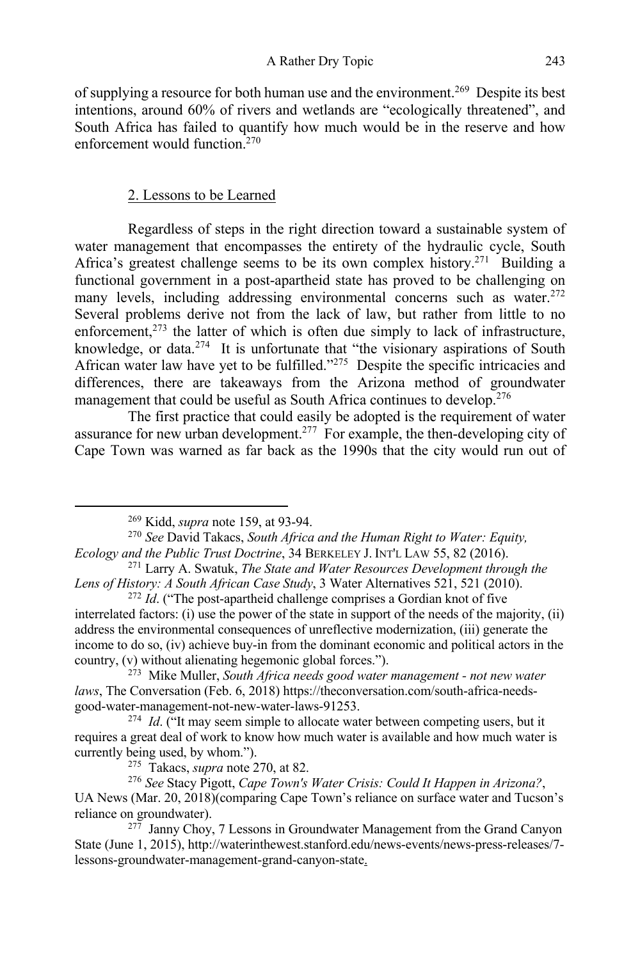of supplying a resource for both human use and the environment.<sup>269</sup> Despite its best intentions, around 60% of rivers and wetlands are "ecologically threatened", and South Africa has failed to quantify how much would be in the reserve and how enforcement would function.270

#### 2. Lessons to be Learned

Regardless of steps in the right direction toward a sustainable system of water management that encompasses the entirety of the hydraulic cycle, South Africa's greatest challenge seems to be its own complex history.<sup>271</sup> Building a functional government in a post-apartheid state has proved to be challenging on many levels, including addressing environmental concerns such as water.  $272$ Several problems derive not from the lack of law, but rather from little to no enforcement,<sup>273</sup> the latter of which is often due simply to lack of infrastructure, knowledge, or data.<sup>274</sup> It is unfortunate that "the visionary aspirations of South African water law have yet to be fulfilled."<sup>275</sup> Despite the specific intricacies and differences, there are takeaways from the Arizona method of groundwater management that could be useful as South Africa continues to develop.<sup>276</sup>

The first practice that could easily be adopted is the requirement of water assurance for new urban development.<sup>277</sup> For example, the then-developing city of Cape Town was warned as far back as the 1990s that the city would run out of

<sup>269</sup> Kidd, *supra* note 159, at 93-94. 270 *See* David Takacs, *South Africa and the Human Right to Water: Equity, Ecology and the Public Trust Doctrine*, 34 BERKELEY J. INT'L LAW 55, 82 (2016).

<sup>271</sup> Larry A. Swatuk, *The State and Water Resources Development through the Lens of History: A South African Case Study*, 3 Water Alternatives 521, 521 (2010).

<sup>&</sup>lt;sup>272</sup> *Id.* ("The post-apartheid challenge comprises a Gordian knot of five interrelated factors: (i) use the power of the state in support of the needs of the majority, (ii) address the environmental consequences of unreflective modernization, (iii) generate the income to do so, (iv) achieve buy-in from the dominant economic and political actors in the country, (v) without alienating hegemonic global forces.").

<sup>273</sup> Mike Muller, *South Africa needs good water management - not new water laws*, The Conversation (Feb. 6, 2018) https://theconversation.com/south-africa-needsgood-water-management-not-new-water-laws-91253.

<sup>&</sup>lt;sup>274</sup> *Id.* ("It may seem simple to allocate water between competing users, but it requires a great deal of work to know how much water is available and how much water is currently being used, by whom.").

<sup>275</sup> Takacs, *supra* note 270, at 82.

<sup>276</sup> *See* Stacy Pigott, *Cape Town's Water Crisis: Could It Happen in Arizona?*, UA News (Mar. 20, 2018)(comparing Cape Town's reliance on surface water and Tucson's reliance on groundwater).

 $277$  Janny Choy, 7 Lessons in Groundwater Management from the Grand Canyon State (June 1, 2015), http://waterinthewest.stanford.edu/news-events/news-press-releases/7 lessons-groundwater-management-grand-canyon-state.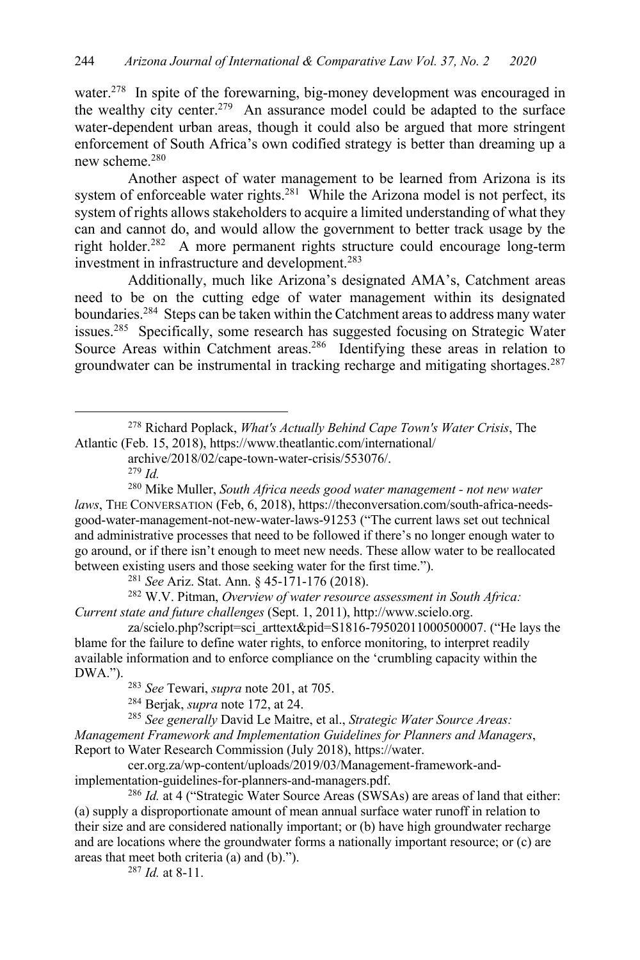water.<sup>278</sup> In spite of the forewarning, big-money development was encouraged in the wealthy city center.<sup>279</sup> An assurance model could be adapted to the surface water-dependent urban areas, though it could also be argued that more stringent enforcement of South Africa's own codified strategy is better than dreaming up a new scheme.<sup>280</sup>

Another aspect of water management to be learned from Arizona is its system of enforceable water rights.<sup>281</sup> While the Arizona model is not perfect, its system of rights allows stakeholders to acquire a limited understanding of what they can and cannot do, and would allow the government to better track usage by the right holder.282 A more permanent rights structure could encourage long-term investment in infrastructure and development.<sup>283</sup>

Additionally, much like Arizona's designated AMA's, Catchment areas need to be on the cutting edge of water management within its designated boundaries.284 Steps can be taken within the Catchment areas to address many water issues.285 Specifically, some research has suggested focusing on Strategic Water Source Areas within Catchment areas.<sup>286</sup> Identifying these areas in relation to groundwater can be instrumental in tracking recharge and mitigating shortages.<sup>287</sup>

<sup>279</sup> *Id.*

<sup>281</sup> *See* Ariz. Stat. Ann. § 45-171-176 (2018).

<sup>282</sup> W.V. Pitman, *Overview of water resource assessment in South Africa: Current state and future challenges* (Sept. 1, 2011), http://www.scielo.org.

za/scielo.php?script=sci\_arttext&pid=S1816-79502011000500007. ("He lays the blame for the failure to define water rights, to enforce monitoring, to interpret readily available information and to enforce compliance on the 'crumbling capacity within the DWA.").

<sup>283</sup> *See* Tewari, *supra* note 201, at 705.

<sup>284</sup> Berjak, *supra* note 172, at 24.

<sup>285</sup> *See generally* David Le Maitre, et al., *Strategic Water Source Areas: Management Framework and Implementation Guidelines for Planners and Managers*, Report to Water Research Commission (July 2018), https://water.

cer.org.za/wp-content/uploads/2019/03/Management-framework-andimplementation-guidelines-for-planners-and-managers.pdf.

<sup>286</sup> *Id.* at 4 ("Strategic Water Source Areas (SWSAs) are areas of land that either: (a) supply a disproportionate amount of mean annual surface water runoff in relation to their size and are considered nationally important; or (b) have high groundwater recharge and are locations where the groundwater forms a nationally important resource; or (c) are areas that meet both criteria (a) and (b).").

<sup>287</sup> *Id.* at 8-11.

<sup>278</sup> Richard Poplack, *What's Actually Behind Cape Town's Water Crisis*, The Atlantic (Feb. 15, 2018), https://www.theatlantic.com/international/

archive/2018/02/cape-town-water-crisis/553076/.

<sup>280</sup> Mike Muller, *South Africa needs good water management - not new water laws*, THE CONVERSATION (Feb, 6, 2018), https://theconversation.com/south-africa-needsgood-water-management-not-new-water-laws-91253 ("The current laws set out technical and administrative processes that need to be followed if there's no longer enough water to go around, or if there isn't enough to meet new needs. These allow water to be reallocated between existing users and those seeking water for the first time.").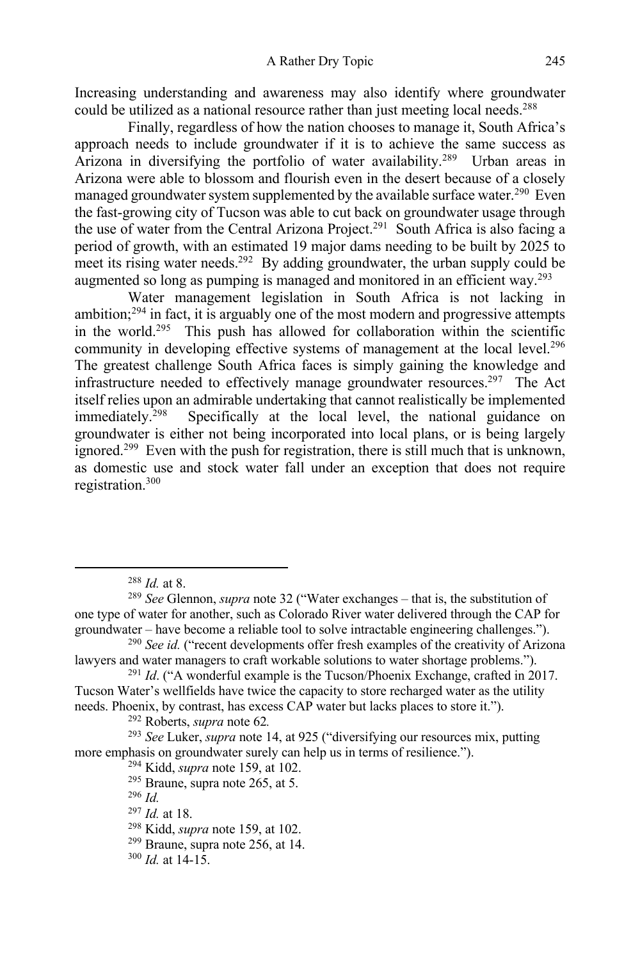Increasing understanding and awareness may also identify where groundwater could be utilized as a national resource rather than just meeting local needs.<sup>288</sup>

Finally, regardless of how the nation chooses to manage it, South Africa's approach needs to include groundwater if it is to achieve the same success as Arizona in diversifying the portfolio of water availability.<sup>289</sup> Urban areas in Arizona were able to blossom and flourish even in the desert because of a closely managed groundwater system supplemented by the available surface water.<sup>290</sup> Even the fast-growing city of Tucson was able to cut back on groundwater usage through the use of water from the Central Arizona Project.<sup>291</sup> South Africa is also facing a period of growth, with an estimated 19 major dams needing to be built by 2025 to meet its rising water needs.<sup>292</sup> By adding groundwater, the urban supply could be augmented so long as pumping is managed and monitored in an efficient way.<sup>293</sup>

Water management legislation in South Africa is not lacking in ambition; $294$  in fact, it is arguably one of the most modern and progressive attempts in the world.295 This push has allowed for collaboration within the scientific community in developing effective systems of management at the local level.<sup>296</sup> The greatest challenge South Africa faces is simply gaining the knowledge and infrastructure needed to effectively manage groundwater resources.<sup>297</sup> The Act itself relies upon an admirable undertaking that cannot realistically be implemented immediately.<sup>298</sup> Specifically at the local level, the national guidance on Specifically at the local level, the national guidance on groundwater is either not being incorporated into local plans, or is being largely ignored.<sup>299</sup> Even with the push for registration, there is still much that is unknown, as domestic use and stock water fall under an exception that does not require registration.300

<sup>296</sup> *Id.*

<sup>297</sup> *Id.* at 18.

<sup>288</sup> *Id.* at 8.

<sup>289</sup> *See* Glennon, *supra* note 32 ("Water exchanges – that is, the substitution of one type of water for another, such as Colorado River water delivered through the CAP for groundwater – have become a reliable tool to solve intractable engineering challenges.").

<sup>290</sup> *See id.* ("recent developments offer fresh examples of the creativity of Arizona lawyers and water managers to craft workable solutions to water shortage problems.").

<sup>291</sup> *Id*. ("A wonderful example is the Tucson/Phoenix Exchange, crafted in 2017. Tucson Water's wellfields have twice the capacity to store recharged water as the utility needs. Phoenix, by contrast, has excess CAP water but lacks places to store it.").

<sup>292</sup> Roberts, *supra* note 62*.*

<sup>293</sup> *See* Luker, *supra* note 14, at 925 ("diversifying our resources mix, putting more emphasis on groundwater surely can help us in terms of resilience.").<br><sup>294</sup> Kidd, *supra* note 159, at 102.

<sup>&</sup>lt;sup>295</sup> Braune, supra note 265, at 5.

<sup>298</sup> Kidd, *supra* note 159, at 102.

 $299$  Braune, supra note 256, at 14.

 $300$  *Id.* at 14-15.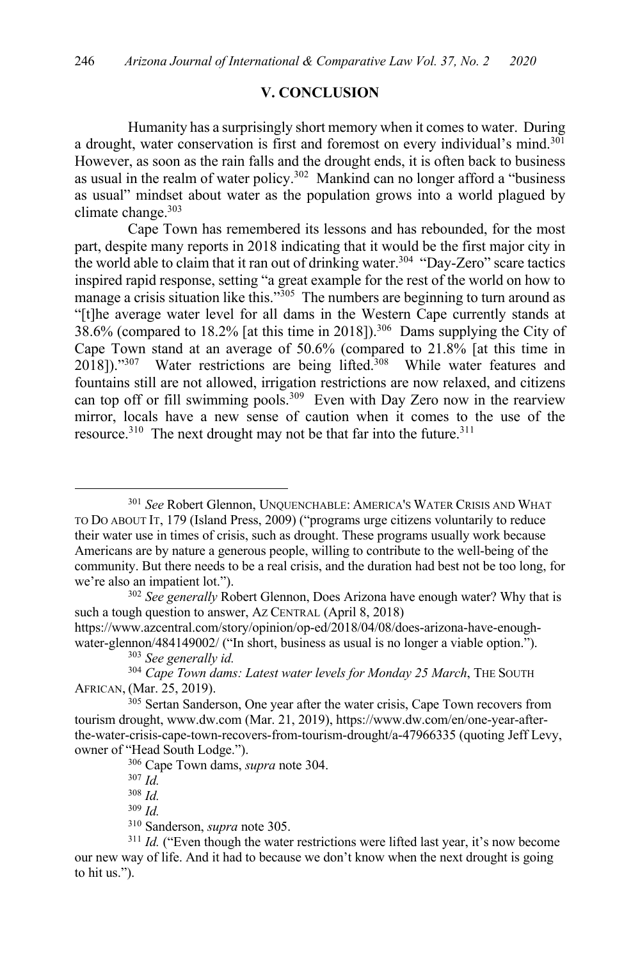#### **V. CONCLUSION**

Humanity has a surprisingly short memory when it comes to water. During a drought, water conservation is first and foremost on every individual's mind.<sup>301</sup> However, as soon as the rain falls and the drought ends, it is often back to business as usual in the realm of water policy.<sup>302</sup> Mankind can no longer afford a "business as usual" mindset about water as the population grows into a world plagued by climate change. $303$ 

Cape Town has remembered its lessons and has rebounded, for the most part, despite many reports in 2018 indicating that it would be the first major city in the world able to claim that it ran out of drinking water.<sup>304</sup> "Day-Zero" scare tactics inspired rapid response, setting "a great example for the rest of the world on how to manage a crisis situation like this."<sup>305</sup> The numbers are beginning to turn around as "[t]he average water level for all dams in the Western Cape currently stands at 38.6% (compared to 18.2% [at this time in 2018]).306 Dams supplying the City of Cape Town stand at an average of 50.6% (compared to 21.8% [at this time in  $2018$ ])."<sup>307</sup> Water restrictions are being lifted.<sup>308</sup> While water features and fountains still are not allowed, irrigation restrictions are now relaxed, and citizens can top off or fill swimming pools.<sup>309</sup> Even with Day Zero now in the rearview mirror, locals have a new sense of caution when it comes to the use of the resource.<sup>310</sup> The next drought may not be that far into the future.<sup>311</sup>

https://www.azcentral.com/story/opinion/op-ed/2018/04/08/does-arizona-have-enoughwater-glennon/484149002/ ("In short, business as usual is no longer a viable option.").

<sup>306</sup> Cape Town dams, *supra* note 304.

<sup>307</sup> *Id.*

<sup>308</sup> *Id.*

<sup>309</sup> *Id.*

<sup>310</sup> Sanderson, *supra* note 305.

<sup>301</sup> *See* Robert Glennon, UNQUENCHABLE: AMERICA'S WATER CRISIS AND WHAT TO DO ABOUT IT, 179 (Island Press, 2009) ("programs urge citizens voluntarily to reduce their water use in times of crisis, such as drought. These programs usually work because Americans are by nature a generous people, willing to contribute to the well-being of the community. But there needs to be a real crisis, and the duration had best not be too long, for we're also an impatient lot.").

<sup>302</sup> *See generally* Robert Glennon, Does Arizona have enough water? Why that is such a tough question to answer, AZ CENTRAL (April 8, 2018)

<sup>303</sup> *See generally id.*

<sup>304</sup> *Cape Town dams: Latest water levels for Monday 25 March*, THE SOUTH AFRICAN, (Mar. 25, 2019).

<sup>&</sup>lt;sup>305</sup> Sertan Sanderson, One year after the water crisis, Cape Town recovers from tourism drought, www.dw.com (Mar. 21, 2019), https://www.dw.com/en/one-year-afterthe-water-crisis-cape-town-recovers-from-tourism-drought/a-47966335 (quoting Jeff Levy, owner of "Head South Lodge.").

<sup>&</sup>lt;sup>311</sup> *Id.* ("Even though the water restrictions were lifted last year, it's now become our new way of life. And it had to because we don't know when the next drought is going to hit us.").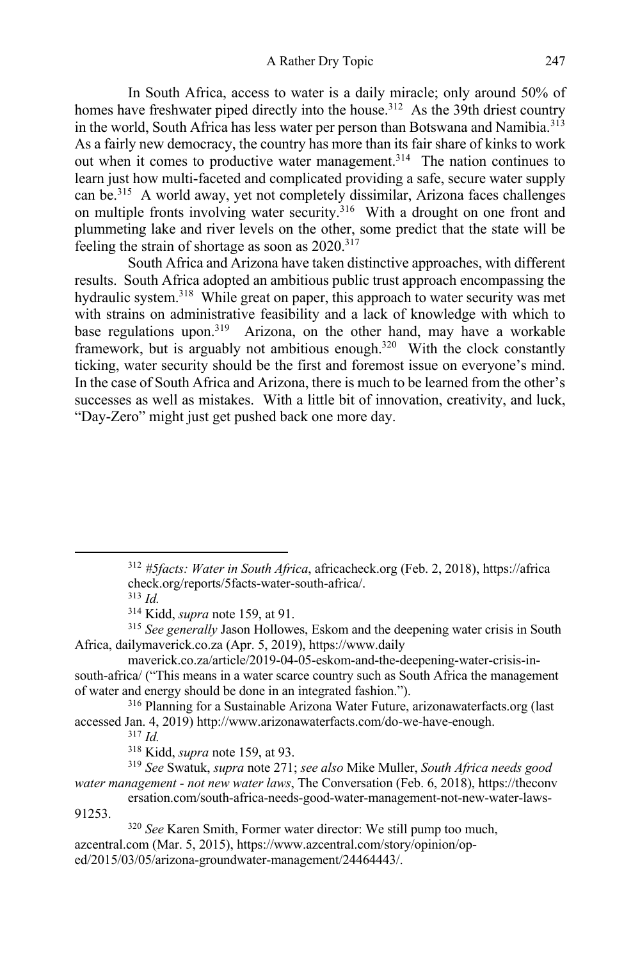A Rather Dry Topic 247

In South Africa, access to water is a daily miracle; only around 50% of homes have freshwater piped directly into the house.<sup>312</sup> As the 39th driest country in the world, South Africa has less water per person than Botswana and Namibia.<sup>313</sup> As a fairly new democracy, the country has more than its fair share of kinks to work out when it comes to productive water management.<sup>314</sup> The nation continues to learn just how multi-faceted and complicated providing a safe, secure water supply can be.315 A world away, yet not completely dissimilar, Arizona faces challenges on multiple fronts involving water security.<sup>316</sup> With a drought on one front and plummeting lake and river levels on the other, some predict that the state will be feeling the strain of shortage as soon as  $2020^{317}$ 

South Africa and Arizona have taken distinctive approaches, with different results. South Africa adopted an ambitious public trust approach encompassing the hydraulic system.<sup>318</sup> While great on paper, this approach to water security was met with strains on administrative feasibility and a lack of knowledge with which to base regulations upon.<sup>319</sup> Arizona, on the other hand, may have a workable framework, but is arguably not ambitious enough.<sup>320</sup> With the clock constantly ticking, water security should be the first and foremost issue on everyone's mind. In the case of South Africa and Arizona, there is much to be learned from the other's successes as well as mistakes. With a little bit of innovation, creativity, and luck, "Day-Zero" might just get pushed back one more day.

<sup>312</sup> *#5facts: Water in South Africa*, africacheck.org (Feb. 2, 2018), https://africa check.org/reports/5facts-water-south-africa/.

<sup>313</sup> *Id.*

<sup>314</sup> Kidd, *supra* note 159, at 91.

<sup>&</sup>lt;sup>315</sup> See generally Jason Hollowes, Eskom and the deepening water crisis in South Africa, dailymaverick.co.za (Apr. 5, 2019), https://www.daily

maverick.co.za/article/2019-04-05-eskom-and-the-deepening-water-crisis-insouth-africa/ ("This means in a water scarce country such as South Africa the management of water and energy should be done in an integrated fashion.").

<sup>316</sup> Planning for a Sustainable Arizona Water Future, arizonawaterfacts.org (last accessed Jan. 4, 2019) http://www.arizonawaterfacts.com/do-we-have-enough. 317 *Id.*

<sup>318</sup> Kidd, *supra* note 159, at 93.

<sup>319</sup> *See* Swatuk, *supra* note 271; *see also* Mike Muller, *South Africa needs good water management - not new water laws*, The Conversation (Feb. 6, 2018), https://theconv

ersation.com/south-africa-needs-good-water-management-not-new-water-laws-91253.

<sup>320</sup> *See* Karen Smith, Former water director: We still pump too much, azcentral.com (Mar. 5, 2015), https://www.azcentral.com/story/opinion/oped/2015/03/05/arizona-groundwater-management/24464443/.